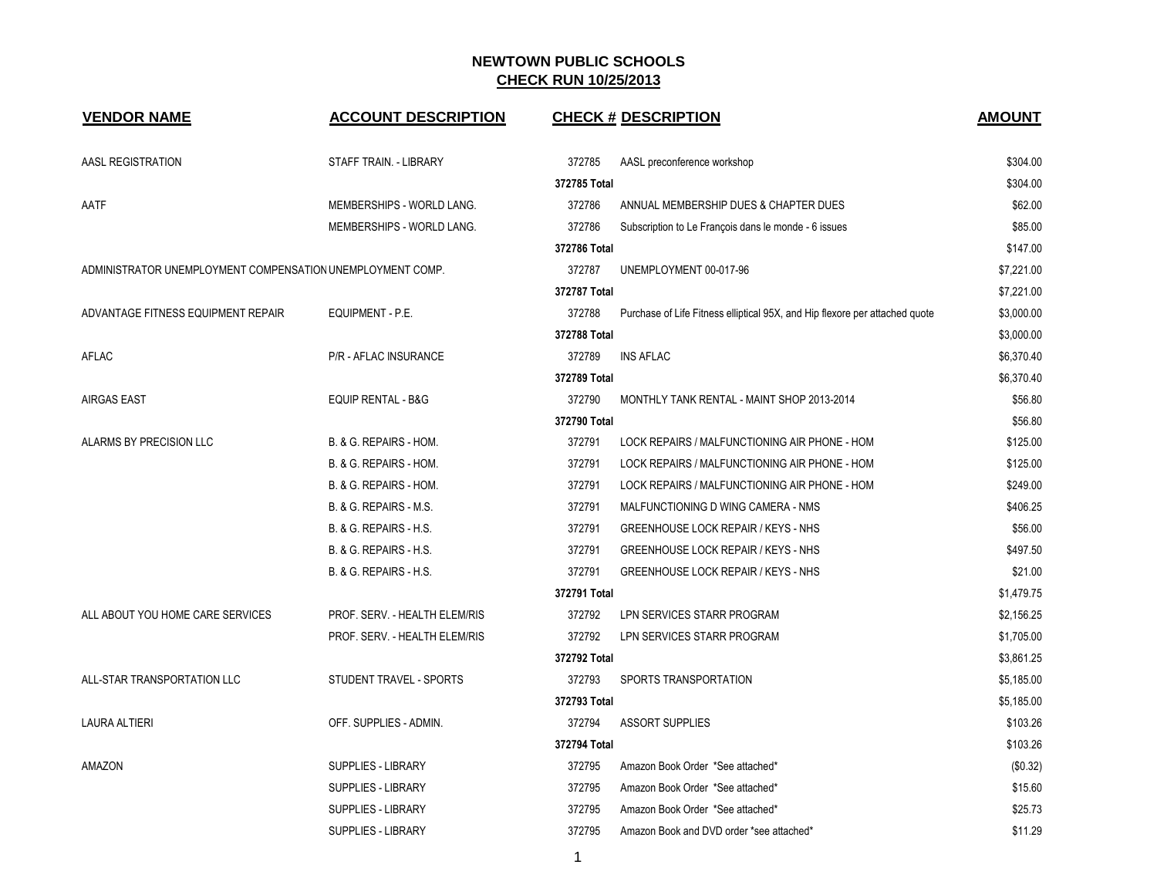| <b>VENDOR NAME</b>                                         | <b>ACCOUNT DESCRIPTION</b>    |              | <b>CHECK # DESCRIPTION</b>                                                  | <b>AMOUNT</b> |
|------------------------------------------------------------|-------------------------------|--------------|-----------------------------------------------------------------------------|---------------|
| AASL REGISTRATION                                          | STAFF TRAIN. - LIBRARY        | 372785       | AASL preconference workshop                                                 | \$304.00      |
|                                                            |                               | 372785 Total |                                                                             | \$304.00      |
| AATF                                                       | MEMBERSHIPS - WORLD LANG.     | 372786       | ANNUAL MEMBERSHIP DUES & CHAPTER DUES                                       | \$62.00       |
|                                                            | MEMBERSHIPS - WORLD LANG.     | 372786       | Subscription to Le François dans le monde - 6 issues                        | \$85.00       |
|                                                            |                               | 372786 Total |                                                                             | \$147.00      |
| ADMINISTRATOR UNEMPLOYMENT COMPENSATION UNEMPLOYMENT COMP. |                               | 372787       | UNEMPLOYMENT 00-017-96                                                      | \$7,221.00    |
|                                                            |                               | 372787 Total |                                                                             | \$7,221.00    |
| ADVANTAGE FITNESS EQUIPMENT REPAIR                         | EQUIPMENT - P.E.              | 372788       | Purchase of Life Fitness elliptical 95X, and Hip flexore per attached quote | \$3,000.00    |
|                                                            |                               | 372788 Total |                                                                             | \$3,000.00    |
| AFLAC                                                      | P/R - AFLAC INSURANCE         | 372789       | <b>INS AFLAC</b>                                                            | \$6,370.40    |
|                                                            |                               | 372789 Total |                                                                             | \$6,370.40    |
| <b>AIRGAS EAST</b>                                         | <b>EQUIP RENTAL - B&amp;G</b> | 372790       | MONTHLY TANK RENTAL - MAINT SHOP 2013-2014                                  | \$56.80       |
|                                                            |                               | 372790 Total |                                                                             | \$56.80       |
| ALARMS BY PRECISION LLC                                    | B. & G. REPAIRS - HOM.        | 372791       | LOCK REPAIRS / MALFUNCTIONING AIR PHONE - HOM                               | \$125.00      |
|                                                            | B. & G. REPAIRS - HOM.        | 372791       | LOCK REPAIRS / MALFUNCTIONING AIR PHONE - HOM                               | \$125.00      |
|                                                            | B. & G. REPAIRS - HOM.        | 372791       | LOCK REPAIRS / MALFUNCTIONING AIR PHONE - HOM                               | \$249.00      |
|                                                            | B. & G. REPAIRS - M.S.        | 372791       | MALFUNCTIONING D WING CAMERA - NMS                                          | \$406.25      |
|                                                            | B. & G. REPAIRS - H.S.        | 372791       | GREENHOUSE LOCK REPAIR / KEYS - NHS                                         | \$56.00       |
|                                                            | B. & G. REPAIRS - H.S.        | 372791       | GREENHOUSE LOCK REPAIR / KEYS - NHS                                         | \$497.50      |
|                                                            | B. & G. REPAIRS - H.S.        | 372791       | GREENHOUSE LOCK REPAIR / KEYS - NHS                                         | \$21.00       |
|                                                            |                               | 372791 Total |                                                                             | \$1,479.75    |
| ALL ABOUT YOU HOME CARE SERVICES                           | PROF. SERV. - HEALTH ELEM/RIS | 372792       | LPN SERVICES STARR PROGRAM                                                  | \$2,156.25    |
|                                                            | PROF. SERV. - HEALTH ELEM/RIS | 372792       | LPN SERVICES STARR PROGRAM                                                  | \$1,705.00    |
|                                                            |                               | 372792 Total |                                                                             | \$3,861.25    |
| ALL-STAR TRANSPORTATION LLC                                | STUDENT TRAVEL - SPORTS       | 372793       | SPORTS TRANSPORTATION                                                       | \$5,185.00    |
|                                                            |                               | 372793 Total |                                                                             | \$5,185.00    |
| <b>LAURA ALTIERI</b>                                       | OFF. SUPPLIES - ADMIN.        | 372794       | <b>ASSORT SUPPLIES</b>                                                      | \$103.26      |
|                                                            |                               | 372794 Total |                                                                             | \$103.26      |
| AMAZON                                                     | <b>SUPPLIES - LIBRARY</b>     | 372795       | Amazon Book Order *See attached*                                            | (\$0.32)      |
|                                                            | <b>SUPPLIES - LIBRARY</b>     | 372795       | Amazon Book Order *See attached*                                            | \$15.60       |
|                                                            | <b>SUPPLIES - LIBRARY</b>     | 372795       | Amazon Book Order *See attached*                                            | \$25.73       |
|                                                            | <b>SUPPLIES - LIBRARY</b>     | 372795       | Amazon Book and DVD order *see attached*                                    | \$11.29       |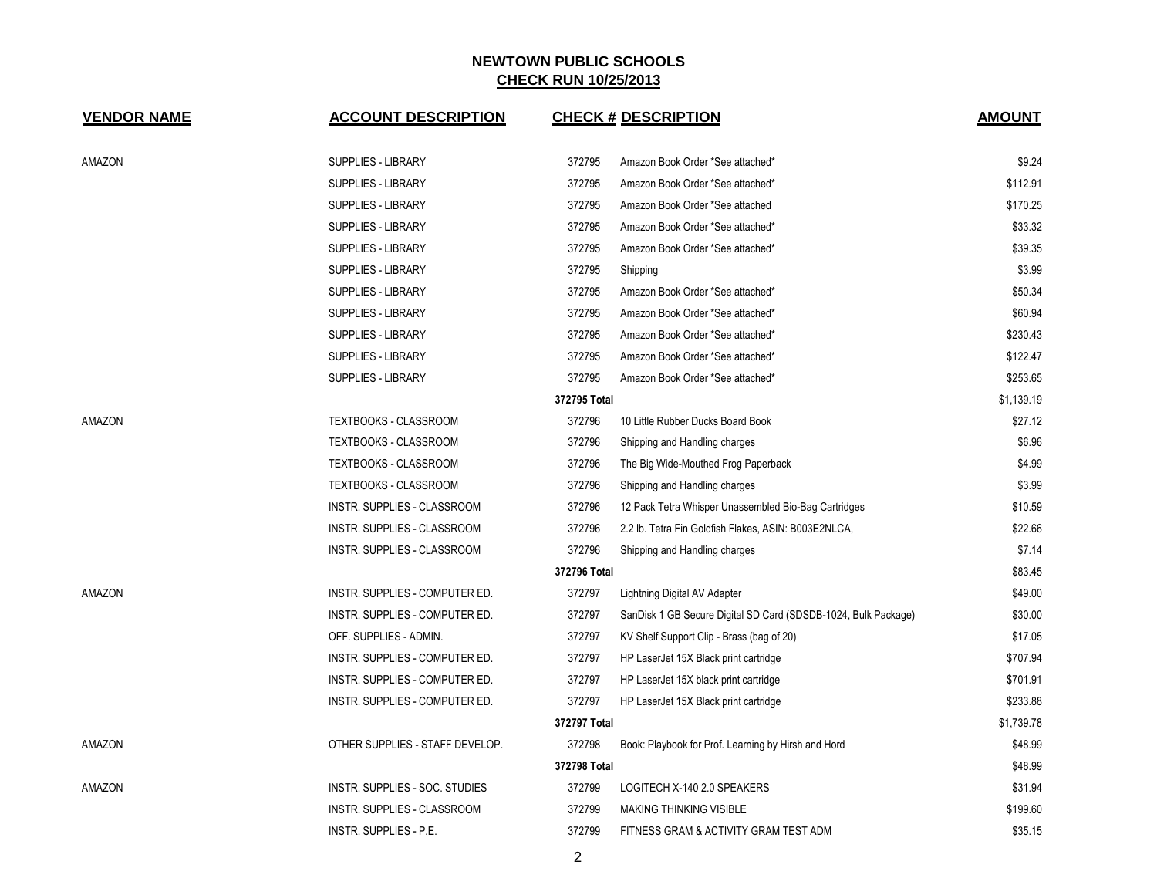| <b>VENDOR NAME</b> | <b>ACCOUNT DESCRIPTION</b>         |              | <b>CHECK # DESCRIPTION</b>                                     | <b>AMOUNT</b> |
|--------------------|------------------------------------|--------------|----------------------------------------------------------------|---------------|
| AMAZON             | SUPPLIES - LIBRARY                 | 372795       | Amazon Book Order *See attached*                               | \$9.24        |
|                    | <b>SUPPLIES - LIBRARY</b>          | 372795       | Amazon Book Order *See attached*                               | \$112.91      |
|                    | <b>SUPPLIES - LIBRARY</b>          | 372795       | Amazon Book Order *See attached                                | \$170.25      |
|                    | <b>SUPPLIES - LIBRARY</b>          | 372795       | Amazon Book Order *See attached*                               | \$33.32       |
|                    | SUPPLIES - LIBRARY                 | 372795       | Amazon Book Order *See attached*                               | \$39.35       |
|                    | SUPPLIES - LIBRARY                 | 372795       | Shipping                                                       | \$3.99        |
|                    | <b>SUPPLIES - LIBRARY</b>          | 372795       | Amazon Book Order *See attached*                               | \$50.34       |
|                    | <b>SUPPLIES - LIBRARY</b>          | 372795       | Amazon Book Order *See attached*                               | \$60.94       |
|                    | <b>SUPPLIES - LIBRARY</b>          | 372795       | Amazon Book Order *See attached*                               | \$230.43      |
|                    | SUPPLIES - LIBRARY                 | 372795       | Amazon Book Order *See attached*                               | \$122.47      |
|                    | <b>SUPPLIES - LIBRARY</b>          | 372795       | Amazon Book Order *See attached*                               | \$253.65      |
|                    |                                    | 372795 Total |                                                                | \$1,139.19    |
| <b>AMAZON</b>      | TEXTBOOKS - CLASSROOM              | 372796       | 10 Little Rubber Ducks Board Book                              | \$27.12       |
|                    | <b>TEXTBOOKS - CLASSROOM</b>       | 372796       | Shipping and Handling charges                                  | \$6.96        |
|                    | TEXTBOOKS - CLASSROOM              | 372796       | The Big Wide-Mouthed Frog Paperback                            | \$4.99        |
|                    | TEXTBOOKS - CLASSROOM              | 372796       | Shipping and Handling charges                                  | \$3.99        |
|                    | INSTR. SUPPLIES - CLASSROOM        | 372796       | 12 Pack Tetra Whisper Unassembled Bio-Bag Cartridges           | \$10.59       |
|                    | INSTR. SUPPLIES - CLASSROOM        | 372796       | 2.2 lb. Tetra Fin Goldfish Flakes, ASIN: B003E2NLCA,           | \$22.66       |
|                    | INSTR. SUPPLIES - CLASSROOM        | 372796       | Shipping and Handling charges                                  | \$7.14        |
|                    |                                    | 372796 Total |                                                                | \$83.45       |
| AMAZON             | INSTR. SUPPLIES - COMPUTER ED.     | 372797       | Lightning Digital AV Adapter                                   | \$49.00       |
|                    | INSTR. SUPPLIES - COMPUTER ED.     | 372797       | SanDisk 1 GB Secure Digital SD Card (SDSDB-1024, Bulk Package) | \$30.00       |
|                    | OFF. SUPPLIES - ADMIN.             | 372797       | KV Shelf Support Clip - Brass (bag of 20)                      | \$17.05       |
|                    | INSTR. SUPPLIES - COMPUTER ED.     | 372797       | HP LaserJet 15X Black print cartridge                          | \$707.94      |
|                    | INSTR. SUPPLIES - COMPUTER ED.     | 372797       | HP LaserJet 15X black print cartridge                          | \$701.91      |
|                    | INSTR. SUPPLIES - COMPUTER ED.     | 372797       | HP LaserJet 15X Black print cartridge                          | \$233.88      |
|                    |                                    | 372797 Total |                                                                | \$1,739.78    |
| AMAZON             | OTHER SUPPLIES - STAFF DEVELOP.    | 372798       | Book: Playbook for Prof. Learning by Hirsh and Hord            | \$48.99       |
|                    |                                    | 372798 Total |                                                                | \$48.99       |
| AMAZON             | INSTR. SUPPLIES - SOC. STUDIES     | 372799       | LOGITECH X-140 2.0 SPEAKERS                                    | \$31.94       |
|                    | <b>INSTR. SUPPLIES - CLASSROOM</b> | 372799       | <b>MAKING THINKING VISIBLE</b>                                 | \$199.60      |
|                    | <b>INSTR. SUPPLIES - P.E.</b>      | 372799       | FITNESS GRAM & ACTIVITY GRAM TEST ADM                          | \$35.15       |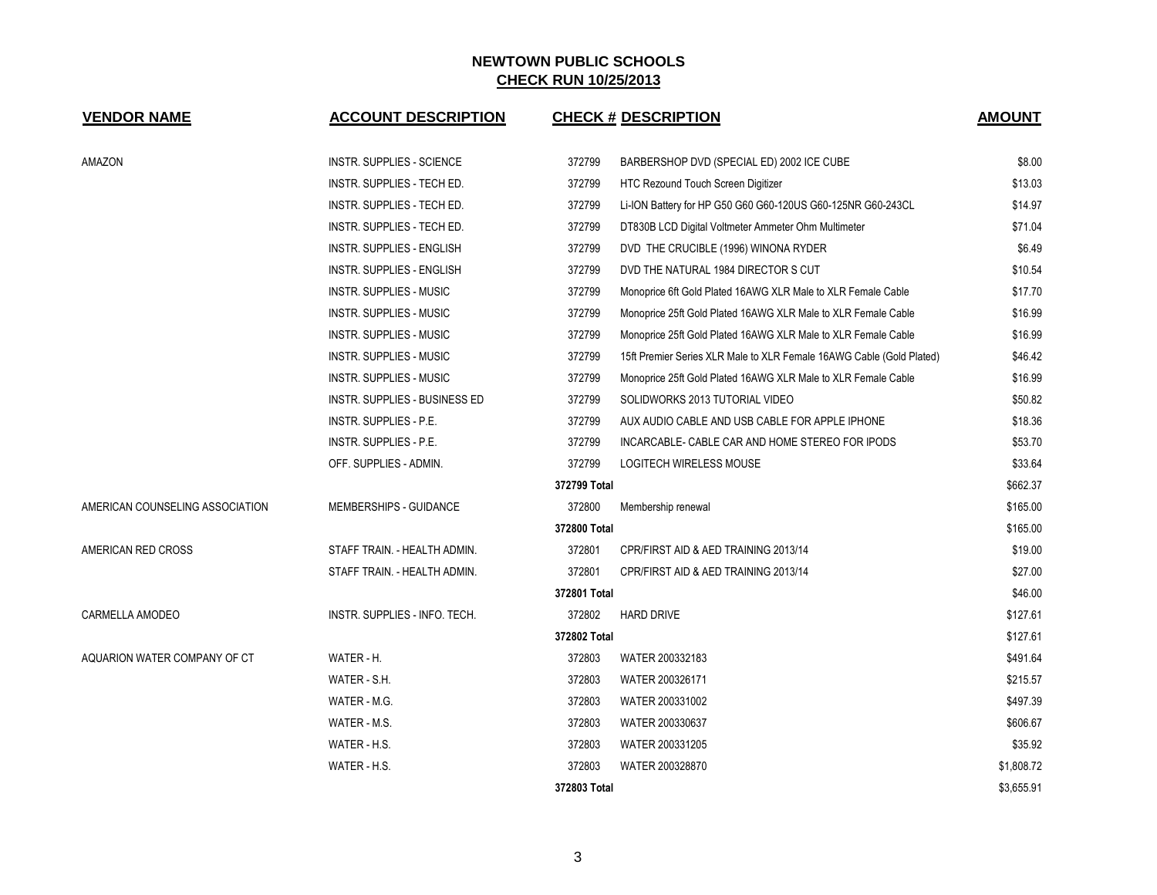| <b>VENDOR NAME</b>              | <b>ACCOUNT DESCRIPTION</b>       |              | <b>CHECK # DESCRIPTION</b>                                           | <b>AMOUNT</b> |
|---------------------------------|----------------------------------|--------------|----------------------------------------------------------------------|---------------|
| AMAZON                          | INSTR. SUPPLIES - SCIENCE        | 372799       | BARBERSHOP DVD (SPECIAL ED) 2002 ICE CUBE                            | \$8.00        |
|                                 | INSTR. SUPPLIES - TECH ED.       | 372799       | HTC Rezound Touch Screen Digitizer                                   | \$13.03       |
|                                 | INSTR. SUPPLIES - TECH ED.       | 372799       | Li-ION Battery for HP G50 G60 G60-120US G60-125NR G60-243CL          | \$14.97       |
|                                 | INSTR. SUPPLIES - TECH ED.       | 372799       | DT830B LCD Digital Voltmeter Ammeter Ohm Multimeter                  | \$71.04       |
|                                 | INSTR. SUPPLIES - ENGLISH        | 372799       | DVD THE CRUCIBLE (1996) WINONA RYDER                                 | \$6.49        |
|                                 | <b>INSTR. SUPPLIES - ENGLISH</b> | 372799       | DVD THE NATURAL 1984 DIRECTOR S CUT                                  | \$10.54       |
|                                 | INSTR. SUPPLIES - MUSIC          | 372799       | Monoprice 6ft Gold Plated 16AWG XLR Male to XLR Female Cable         | \$17.70       |
|                                 | <b>INSTR. SUPPLIES - MUSIC</b>   | 372799       | Monoprice 25ft Gold Plated 16AWG XLR Male to XLR Female Cable        | \$16.99       |
|                                 | INSTR. SUPPLIES - MUSIC          | 372799       | Monoprice 25ft Gold Plated 16AWG XLR Male to XLR Female Cable        | \$16.99       |
|                                 | INSTR. SUPPLIES - MUSIC          | 372799       | 15ft Premier Series XLR Male to XLR Female 16AWG Cable (Gold Plated) | \$46.42       |
|                                 | INSTR. SUPPLIES - MUSIC          | 372799       | Monoprice 25ft Gold Plated 16AWG XLR Male to XLR Female Cable        | \$16.99       |
|                                 | INSTR. SUPPLIES - BUSINESS ED    | 372799       | SOLIDWORKS 2013 TUTORIAL VIDEO                                       | \$50.82       |
|                                 | INSTR. SUPPLIES - P.E.           | 372799       | AUX AUDIO CABLE AND USB CABLE FOR APPLE IPHONE                       | \$18.36       |
|                                 | <b>INSTR. SUPPLIES - P.E.</b>    | 372799       | INCARCABLE- CABLE CAR AND HOME STEREO FOR IPODS                      | \$53.70       |
|                                 | OFF. SUPPLIES - ADMIN.           | 372799       | <b>LOGITECH WIRELESS MOUSE</b>                                       | \$33.64       |
|                                 |                                  | 372799 Total |                                                                      | \$662.37      |
| AMERICAN COUNSELING ASSOCIATION | MEMBERSHIPS - GUIDANCE           | 372800       | Membership renewal                                                   | \$165.00      |
|                                 |                                  | 372800 Total |                                                                      | \$165.00      |
| AMERICAN RED CROSS              | STAFF TRAIN. - HEALTH ADMIN.     | 372801       | CPR/FIRST AID & AED TRAINING 2013/14                                 | \$19.00       |
|                                 | STAFF TRAIN. - HEALTH ADMIN.     | 372801       | CPR/FIRST AID & AED TRAINING 2013/14                                 | \$27.00       |
|                                 |                                  | 372801 Total |                                                                      | \$46.00       |
| CARMELLA AMODEO                 | INSTR. SUPPLIES - INFO. TECH.    | 372802       | <b>HARD DRIVE</b>                                                    | \$127.61      |
|                                 |                                  | 372802 Total |                                                                      | \$127.61      |
| AQUARION WATER COMPANY OF CT    | WATER - H.                       | 372803       | WATER 200332183                                                      | \$491.64      |
|                                 | WATER - S.H.                     | 372803       | WATER 200326171                                                      | \$215.57      |
|                                 | WATER - M.G.                     | 372803       | WATER 200331002                                                      | \$497.39      |
|                                 | WATER - M.S.                     | 372803       | WATER 200330637                                                      | \$606.67      |
|                                 | WATER - H.S.                     | 372803       | WATER 200331205                                                      | \$35.92       |
|                                 | WATER - H.S.                     | 372803       | WATER 200328870                                                      | \$1,808.72    |
|                                 |                                  | 372803 Total |                                                                      | \$3,655.91    |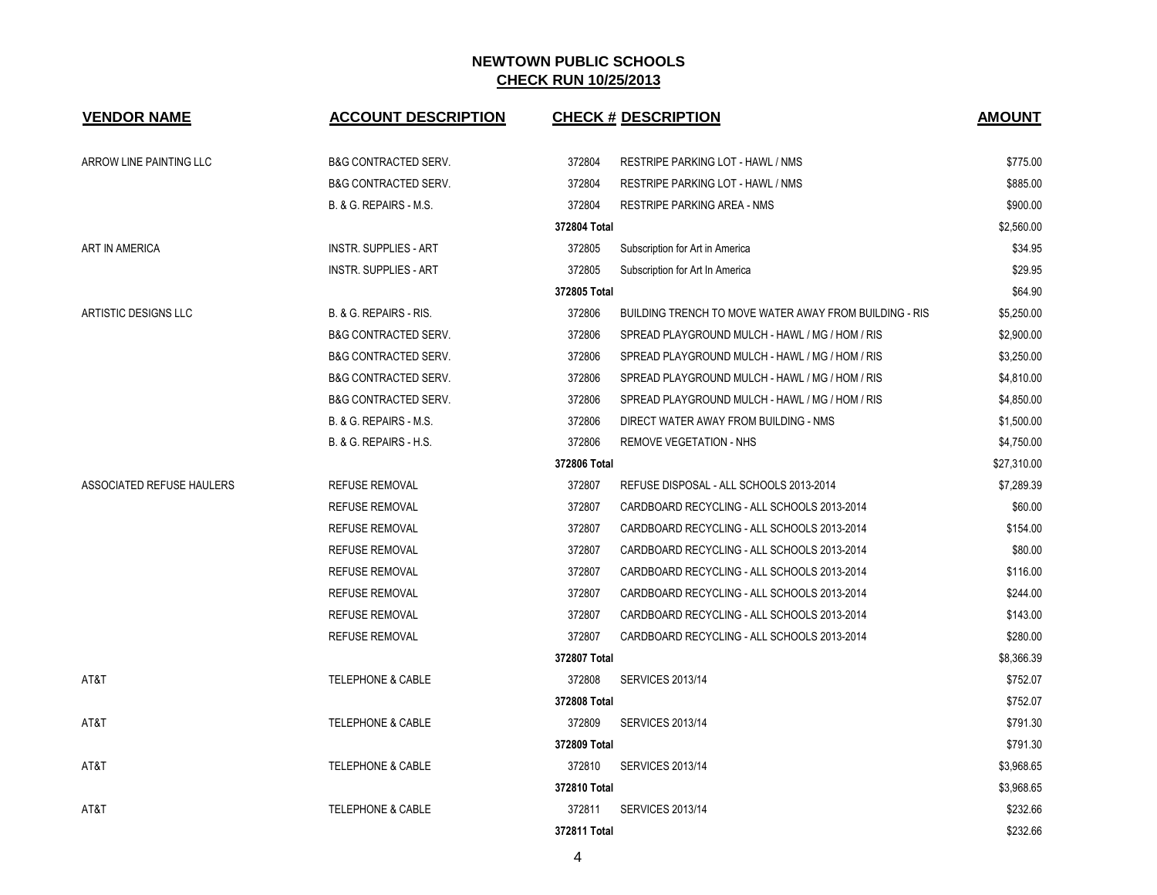| <b>VENDOR NAME</b>        | <b>ACCOUNT DESCRIPTION</b>      | <b>CHECK # DESCRIPTION</b>                                       | <b>AMOUNT</b> |
|---------------------------|---------------------------------|------------------------------------------------------------------|---------------|
|                           |                                 |                                                                  |               |
| ARROW LINE PAINTING LLC   | <b>B&amp;G CONTRACTED SERV.</b> | 372804<br>RESTRIPE PARKING LOT - HAWL / NMS                      | \$775.00      |
|                           | <b>B&amp;G CONTRACTED SERV.</b> | 372804<br>RESTRIPE PARKING LOT - HAWL / NMS                      | \$885.00      |
|                           | B. & G. REPAIRS - M.S.          | 372804<br><b>RESTRIPE PARKING AREA - NMS</b>                     | \$900.00      |
|                           |                                 | 372804 Total                                                     | \$2,560.00    |
| ART IN AMERICA            | <b>INSTR. SUPPLIES - ART</b>    | 372805<br>Subscription for Art in America                        | \$34.95       |
|                           | <b>INSTR. SUPPLIES - ART</b>    | 372805<br>Subscription for Art In America                        | \$29.95       |
|                           |                                 | 372805 Total                                                     | \$64.90       |
| ARTISTIC DESIGNS LLC      | B. & G. REPAIRS - RIS.          | 372806<br>BUILDING TRENCH TO MOVE WATER AWAY FROM BUILDING - RIS | \$5,250.00    |
|                           | <b>B&amp;G CONTRACTED SERV.</b> | 372806<br>SPREAD PLAYGROUND MULCH - HAWL / MG / HOM / RIS        | \$2,900.00    |
|                           | <b>B&amp;G CONTRACTED SERV.</b> | 372806<br>SPREAD PLAYGROUND MULCH - HAWL / MG / HOM / RIS        | \$3,250.00    |
|                           | <b>B&amp;G CONTRACTED SERV.</b> | 372806<br>SPREAD PLAYGROUND MULCH - HAWL / MG / HOM / RIS        | \$4,810.00    |
|                           | <b>B&amp;G CONTRACTED SERV.</b> | 372806<br>SPREAD PLAYGROUND MULCH - HAWL / MG / HOM / RIS        | \$4,850.00    |
|                           | B. & G. REPAIRS - M.S.          | 372806<br>DIRECT WATER AWAY FROM BUILDING - NMS                  | \$1,500.00    |
|                           | B. & G. REPAIRS - H.S.          | 372806<br><b>REMOVE VEGETATION - NHS</b>                         | \$4,750.00    |
|                           |                                 | 372806 Total                                                     | \$27,310.00   |
| ASSOCIATED REFUSE HAULERS | <b>REFUSE REMOVAL</b>           | 372807<br>REFUSE DISPOSAL - ALL SCHOOLS 2013-2014                | \$7,289.39    |
|                           | <b>REFUSE REMOVAL</b>           | 372807<br>CARDBOARD RECYCLING - ALL SCHOOLS 2013-2014            | \$60.00       |
|                           | <b>REFUSE REMOVAL</b>           | 372807<br>CARDBOARD RECYCLING - ALL SCHOOLS 2013-2014            | \$154.00      |
|                           | <b>REFUSE REMOVAL</b>           | 372807<br>CARDBOARD RECYCLING - ALL SCHOOLS 2013-2014            | \$80.00       |
|                           | <b>REFUSE REMOVAL</b>           | 372807<br>CARDBOARD RECYCLING - ALL SCHOOLS 2013-2014            | \$116.00      |
|                           | <b>REFUSE REMOVAL</b>           | 372807<br>CARDBOARD RECYCLING - ALL SCHOOLS 2013-2014            | \$244.00      |
|                           | <b>REFUSE REMOVAL</b>           | 372807<br>CARDBOARD RECYCLING - ALL SCHOOLS 2013-2014            | \$143.00      |
|                           | <b>REFUSE REMOVAL</b>           | 372807<br>CARDBOARD RECYCLING - ALL SCHOOLS 2013-2014            | \$280.00      |
|                           |                                 | 372807 Total                                                     | \$8,366.39    |
| AT&T                      | <b>TELEPHONE &amp; CABLE</b>    | 372808<br><b>SERVICES 2013/14</b>                                | \$752.07      |
|                           |                                 | 372808 Total                                                     | \$752.07      |
| AT&T                      | <b>TELEPHONE &amp; CABLE</b>    | 372809<br><b>SERVICES 2013/14</b>                                | \$791.30      |
|                           |                                 | 372809 Total                                                     | \$791.30      |
| AT&T                      | <b>TELEPHONE &amp; CABLE</b>    | 372810<br><b>SERVICES 2013/14</b>                                | \$3,968.65    |
|                           |                                 | 372810 Total                                                     | \$3,968.65    |
| AT&T                      | <b>TELEPHONE &amp; CABLE</b>    | 372811<br><b>SERVICES 2013/14</b>                                | \$232.66      |
|                           |                                 | 372811 Total                                                     | \$232.66      |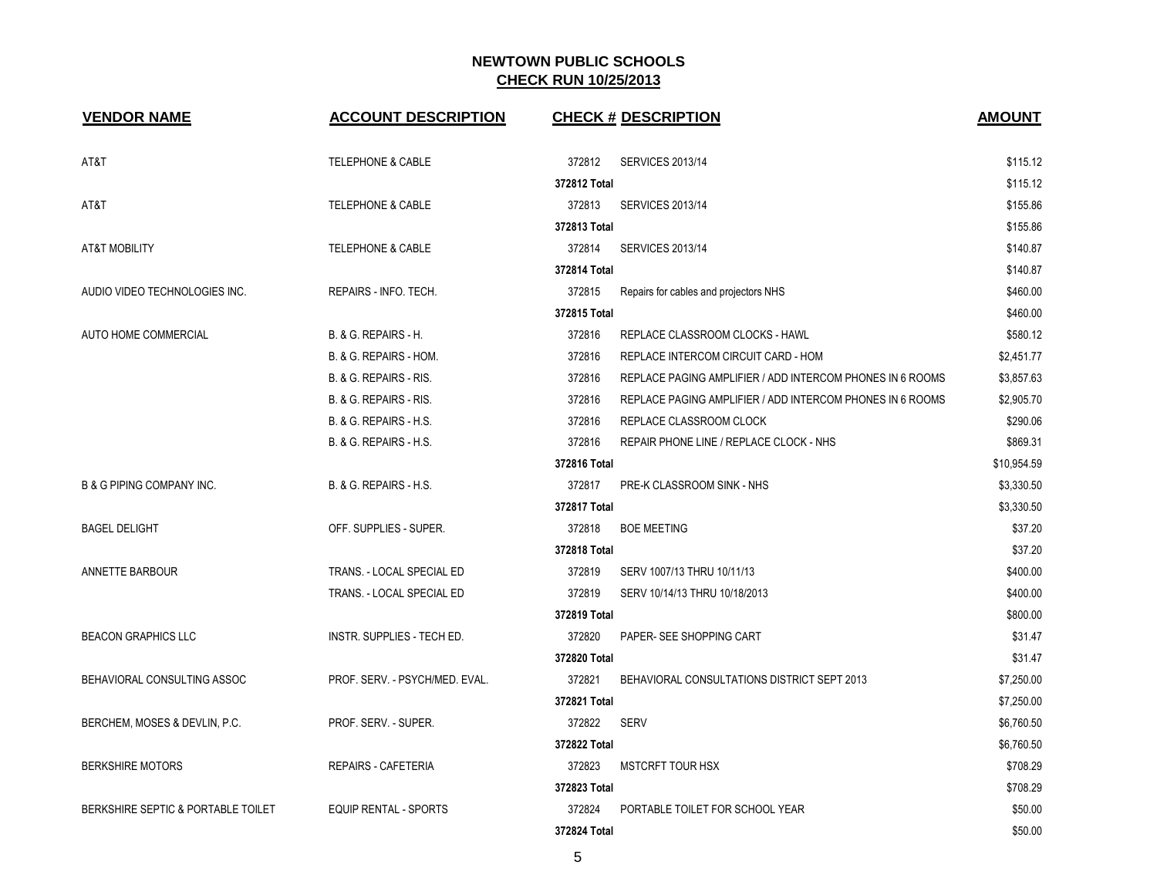| <b>VENDOR NAME</b>                   | <b>ACCOUNT DESCRIPTION</b>      |                        | <b>CHECK # DESCRIPTION</b>                                | <b>AMOUNT</b>        |
|--------------------------------------|---------------------------------|------------------------|-----------------------------------------------------------|----------------------|
|                                      |                                 |                        |                                                           |                      |
| AT&T                                 | <b>TELEPHONE &amp; CABLE</b>    | 372812                 | <b>SERVICES 2013/14</b>                                   | \$115.12             |
| AT&T                                 | <b>TELEPHONE &amp; CABLE</b>    | 372812 Total<br>372813 |                                                           | \$115.12<br>\$155.86 |
|                                      |                                 | 372813 Total           | <b>SERVICES 2013/14</b>                                   | \$155.86             |
| AT&T MOBILITY                        | <b>TELEPHONE &amp; CABLE</b>    | 372814                 | <b>SERVICES 2013/14</b>                                   | \$140.87             |
|                                      |                                 | 372814 Total           |                                                           | \$140.87             |
| AUDIO VIDEO TECHNOLOGIES INC.        | REPAIRS - INFO. TECH.           | 372815                 | Repairs for cables and projectors NHS                     | \$460.00             |
|                                      |                                 | 372815 Total           |                                                           | \$460.00             |
| AUTO HOME COMMERCIAL                 | <b>B. &amp; G. REPAIRS - H.</b> | 372816                 | REPLACE CLASSROOM CLOCKS - HAWL                           | \$580.12             |
|                                      | B. & G. REPAIRS - HOM.          | 372816                 | REPLACE INTERCOM CIRCUIT CARD - HOM                       | \$2,451.77           |
|                                      | B. & G. REPAIRS - RIS.          | 372816                 | REPLACE PAGING AMPLIFIER / ADD INTERCOM PHONES IN 6 ROOMS | \$3,857.63           |
|                                      | B. & G. REPAIRS - RIS.          | 372816                 | REPLACE PAGING AMPLIFIER / ADD INTERCOM PHONES IN 6 ROOMS | \$2,905.70           |
|                                      | B. & G. REPAIRS - H.S.          | 372816                 | REPLACE CLASSROOM CLOCK                                   | \$290.06             |
|                                      | B. & G. REPAIRS - H.S.          | 372816                 | REPAIR PHONE LINE / REPLACE CLOCK - NHS                   | \$869.31             |
|                                      |                                 | 372816 Total           |                                                           | \$10.954.59          |
| <b>B &amp; G PIPING COMPANY INC.</b> | B. & G. REPAIRS - H.S.          | 372817                 | PRE-K CLASSROOM SINK - NHS                                | \$3.330.50           |
|                                      |                                 | 372817 Total           |                                                           | \$3,330.50           |
| <b>BAGEL DELIGHT</b>                 | OFF. SUPPLIES - SUPER.          | 372818                 | <b>BOE MEETING</b>                                        | \$37.20              |
|                                      |                                 | 372818 Total           |                                                           | \$37.20              |
| ANNETTE BARBOUR                      | TRANS. - LOCAL SPECIAL ED       | 372819                 | SERV 1007/13 THRU 10/11/13                                | \$400.00             |
|                                      | TRANS. - LOCAL SPECIAL ED       | 372819                 | SERV 10/14/13 THRU 10/18/2013                             | \$400.00             |
|                                      |                                 | 372819 Total           |                                                           | \$800.00             |
| <b>BEACON GRAPHICS LLC</b>           | INSTR. SUPPLIES - TECH ED.      | 372820                 | PAPER- SEE SHOPPING CART                                  | \$31.47              |
|                                      |                                 | 372820 Total           |                                                           | \$31.47              |
| BEHAVIORAL CONSULTING ASSOC          | PROF. SERV. - PSYCH/MED. EVAL.  | 372821                 | BEHAVIORAL CONSULTATIONS DISTRICT SEPT 2013               | \$7,250.00           |
|                                      |                                 | 372821 Total           |                                                           | \$7,250.00           |
| BERCHEM, MOSES & DEVLIN, P.C.        | PROF. SERV. - SUPER.            | 372822                 | SERV                                                      | \$6,760.50           |
|                                      |                                 | 372822 Total           |                                                           | \$6,760.50           |
| <b>BERKSHIRE MOTORS</b>              | <b>REPAIRS - CAFETERIA</b>      | 372823                 | <b>MSTCRFT TOUR HSX</b>                                   | \$708.29             |
|                                      |                                 | 372823 Total           |                                                           | \$708.29             |
| BERKSHIRE SEPTIC & PORTABLE TOILET   | <b>EQUIP RENTAL - SPORTS</b>    | 372824                 | PORTABLE TOILET FOR SCHOOL YEAR                           | \$50.00              |
|                                      |                                 | 372824 Total           |                                                           | \$50.00              |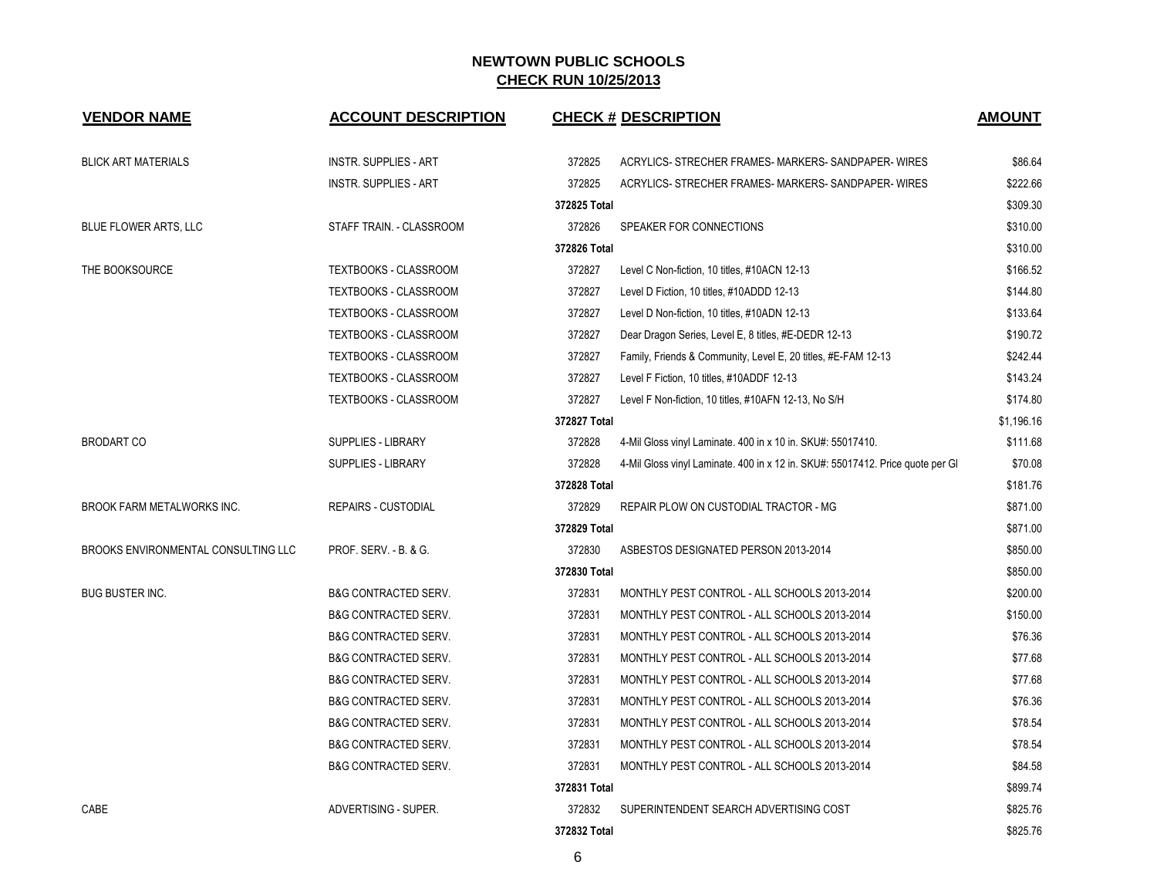| <b>VENDOR NAME</b>                  | <b>ACCOUNT DESCRIPTION</b>      |              | <b>CHECK # DESCRIPTION</b>                                                     | <b>AMOUNT</b> |
|-------------------------------------|---------------------------------|--------------|--------------------------------------------------------------------------------|---------------|
| <b>BLICK ART MATERIALS</b>          | <b>INSTR. SUPPLIES - ART</b>    | 372825       | ACRYLICS- STRECHER FRAMES- MARKERS- SANDPAPER- WIRES                           | \$86.64       |
|                                     | <b>INSTR. SUPPLIES - ART</b>    | 372825       | ACRYLICS- STRECHER FRAMES- MARKERS- SANDPAPER- WIRES                           | \$222.66      |
|                                     |                                 | 372825 Total |                                                                                | \$309.30      |
| BLUE FLOWER ARTS, LLC               | STAFF TRAIN. - CLASSROOM        | 372826       | SPEAKER FOR CONNECTIONS                                                        | \$310.00      |
|                                     |                                 | 372826 Total |                                                                                | \$310.00      |
| THE BOOKSOURCE                      | <b>TEXTBOOKS - CLASSROOM</b>    | 372827       | Level C Non-fiction, 10 titles, #10ACN 12-13                                   | \$166.52      |
|                                     | <b>TEXTBOOKS - CLASSROOM</b>    | 372827       | Level D Fiction, 10 titles, #10ADDD 12-13                                      | \$144.80      |
|                                     | TEXTBOOKS - CLASSROOM           | 372827       | Level D Non-fiction, 10 titles, #10ADN 12-13                                   | \$133.64      |
|                                     | <b>TEXTBOOKS - CLASSROOM</b>    | 372827       | Dear Dragon Series, Level E, 8 titles, #E-DEDR 12-13                           | \$190.72      |
|                                     | <b>TEXTBOOKS - CLASSROOM</b>    | 372827       | Family, Friends & Community, Level E, 20 titles, #E-FAM 12-13                  | \$242.44      |
|                                     | <b>TEXTBOOKS - CLASSROOM</b>    | 372827       | Level F Fiction, 10 titles, #10ADDF 12-13                                      | \$143.24      |
|                                     | <b>TEXTBOOKS - CLASSROOM</b>    | 372827       | Level F Non-fiction, 10 titles, #10AFN 12-13, No S/H                           | \$174.80      |
|                                     |                                 | 372827 Total |                                                                                | \$1,196.16    |
| <b>BRODART CO</b>                   | SUPPLIES - LIBRARY              | 372828       | 4-Mil Gloss vinyl Laminate. 400 in x 10 in. SKU#: 55017410.                    | \$111.68      |
|                                     | <b>SUPPLIES - LIBRARY</b>       | 372828       | 4-Mil Gloss vinyl Laminate. 400 in x 12 in. SKU#: 55017412. Price quote per GI | \$70.08       |
|                                     |                                 | 372828 Total |                                                                                | \$181.76      |
| <b>BROOK FARM METALWORKS INC.</b>   | <b>REPAIRS - CUSTODIAL</b>      | 372829       | REPAIR PLOW ON CUSTODIAL TRACTOR - MG                                          | \$871.00      |
|                                     |                                 | 372829 Total |                                                                                | \$871.00      |
| BROOKS ENVIRONMENTAL CONSULTING LLC | PROF. SERV. - B. & G.           | 372830       | ASBESTOS DESIGNATED PERSON 2013-2014                                           | \$850.00      |
|                                     |                                 | 372830 Total |                                                                                | \$850.00      |
| <b>BUG BUSTER INC.</b>              | <b>B&amp;G CONTRACTED SERV.</b> | 372831       | MONTHLY PEST CONTROL - ALL SCHOOLS 2013-2014                                   | \$200.00      |
|                                     | <b>B&amp;G CONTRACTED SERV.</b> | 372831       | MONTHLY PEST CONTROL - ALL SCHOOLS 2013-2014                                   | \$150.00      |
|                                     | <b>B&amp;G CONTRACTED SERV.</b> | 372831       | MONTHLY PEST CONTROL - ALL SCHOOLS 2013-2014                                   | \$76.36       |
|                                     | <b>B&amp;G CONTRACTED SERV.</b> | 372831       | MONTHLY PEST CONTROL - ALL SCHOOLS 2013-2014                                   | \$77.68       |
|                                     | <b>B&amp;G CONTRACTED SERV.</b> | 372831       | MONTHLY PEST CONTROL - ALL SCHOOLS 2013-2014                                   | \$77.68       |
|                                     | B&G CONTRACTED SERV.            | 372831       | MONTHLY PEST CONTROL - ALL SCHOOLS 2013-2014                                   | \$76.36       |
|                                     | <b>B&amp;G CONTRACTED SERV.</b> | 372831       | MONTHLY PEST CONTROL - ALL SCHOOLS 2013-2014                                   | \$78.54       |
|                                     | <b>B&amp;G CONTRACTED SERV.</b> | 372831       | MONTHLY PEST CONTROL - ALL SCHOOLS 2013-2014                                   | \$78.54       |
|                                     | B&G CONTRACTED SERV.            | 372831       | MONTHLY PEST CONTROL - ALL SCHOOLS 2013-2014                                   | \$84.58       |
|                                     |                                 | 372831 Total |                                                                                | \$899.74      |
| CABE                                | ADVERTISING - SUPER.            | 372832       | SUPERINTENDENT SEARCH ADVERTISING COST                                         | \$825.76      |
|                                     |                                 | 372832 Total |                                                                                | \$825.76      |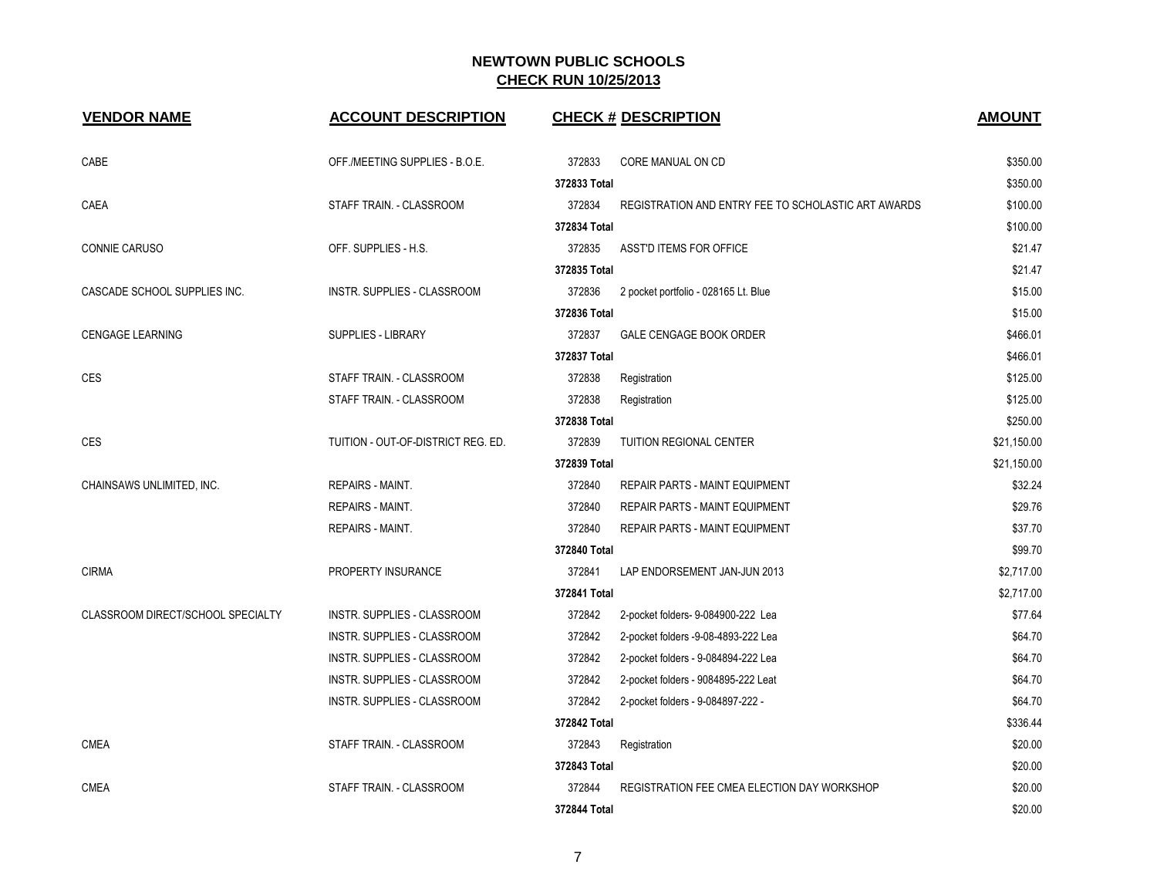| <b>VENDOR NAME</b>                | <b>ACCOUNT DESCRIPTION</b>         |              | <b>CHECK # DESCRIPTION</b>                          | <b>AMOUNT</b> |
|-----------------------------------|------------------------------------|--------------|-----------------------------------------------------|---------------|
| CABE                              | OFF./MEETING SUPPLIES - B.O.E.     | 372833       | CORE MANUAL ON CD                                   | \$350.00      |
|                                   |                                    | 372833 Total |                                                     | \$350.00      |
| CAEA                              | STAFF TRAIN. - CLASSROOM           | 372834       | REGISTRATION AND ENTRY FEE TO SCHOLASTIC ART AWARDS | \$100.00      |
|                                   |                                    | 372834 Total |                                                     | \$100.00      |
| <b>CONNIE CARUSO</b>              | OFF. SUPPLIES - H.S.               | 372835       | ASST'D ITEMS FOR OFFICE                             | \$21.47       |
|                                   |                                    | 372835 Total |                                                     | \$21.47       |
| CASCADE SCHOOL SUPPLIES INC.      | INSTR. SUPPLIES - CLASSROOM        | 372836       | 2 pocket portfolio - 028165 Lt. Blue                | \$15.00       |
|                                   |                                    | 372836 Total |                                                     | \$15.00       |
| <b>CENGAGE LEARNING</b>           | <b>SUPPLIES - LIBRARY</b>          | 372837       | <b>GALE CENGAGE BOOK ORDER</b>                      | \$466.01      |
|                                   |                                    | 372837 Total |                                                     | \$466.01      |
| <b>CES</b>                        | STAFF TRAIN. - CLASSROOM           | 372838       | Registration                                        | \$125.00      |
|                                   | STAFF TRAIN. - CLASSROOM           | 372838       | Registration                                        | \$125.00      |
|                                   |                                    | 372838 Total |                                                     | \$250.00      |
| <b>CES</b>                        | TUITION - OUT-OF-DISTRICT REG. ED. | 372839       | <b>TUITION REGIONAL CENTER</b>                      | \$21,150.00   |
|                                   |                                    | 372839 Total |                                                     | \$21,150.00   |
| CHAINSAWS UNLIMITED, INC.         | <b>REPAIRS - MAINT.</b>            | 372840       | <b>REPAIR PARTS - MAINT EQUIPMENT</b>               | \$32.24       |
|                                   | <b>REPAIRS - MAINT.</b>            | 372840       | <b>REPAIR PARTS - MAINT EQUIPMENT</b>               | \$29.76       |
|                                   | REPAIRS - MAINT.                   | 372840       | REPAIR PARTS - MAINT EQUIPMENT                      | \$37.70       |
|                                   |                                    | 372840 Total |                                                     | \$99.70       |
| <b>CIRMA</b>                      | PROPERTY INSURANCE                 | 372841       | LAP ENDORSEMENT JAN-JUN 2013                        | \$2,717.00    |
|                                   |                                    | 372841 Total |                                                     | \$2,717.00    |
| CLASSROOM DIRECT/SCHOOL SPECIALTY | INSTR. SUPPLIES - CLASSROOM        | 372842       | 2-pocket folders- 9-084900-222 Lea                  | \$77.64       |
|                                   | INSTR. SUPPLIES - CLASSROOM        | 372842       | 2-pocket folders -9-08-4893-222 Lea                 | \$64.70       |
|                                   | INSTR. SUPPLIES - CLASSROOM        | 372842       | 2-pocket folders - 9-084894-222 Lea                 | \$64.70       |
|                                   | INSTR. SUPPLIES - CLASSROOM        | 372842       | 2-pocket folders - 9084895-222 Leat                 | \$64.70       |
|                                   | INSTR. SUPPLIES - CLASSROOM        | 372842       | 2-pocket folders - 9-084897-222 -                   | \$64.70       |
|                                   |                                    | 372842 Total |                                                     | \$336.44      |
| <b>CMEA</b>                       | STAFF TRAIN. - CLASSROOM           | 372843       | Registration                                        | \$20.00       |
|                                   |                                    | 372843 Total |                                                     | \$20.00       |
| <b>CMEA</b>                       | STAFF TRAIN. - CLASSROOM           | 372844       | REGISTRATION FEE CMEA ELECTION DAY WORKSHOP         | \$20.00       |
|                                   |                                    | 372844 Total |                                                     | \$20.00       |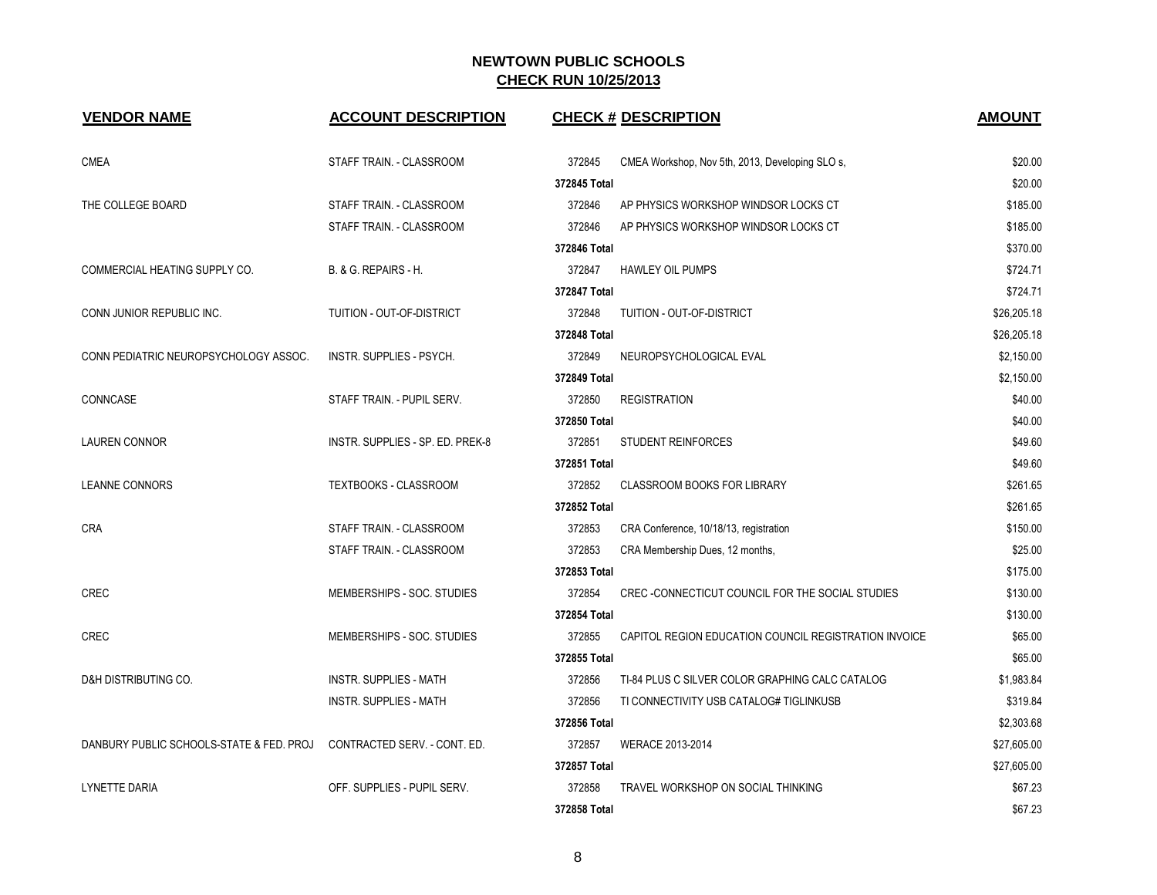| <b>VENDOR NAME</b>                       | <b>ACCOUNT DESCRIPTION</b>       | <b>CHECK # DESCRIPTION</b>                                      | <b>AMOUNT</b> |
|------------------------------------------|----------------------------------|-----------------------------------------------------------------|---------------|
| <b>CMEA</b>                              | STAFF TRAIN. - CLASSROOM         | 372845<br>CMEA Workshop, Nov 5th, 2013, Developing SLO s,       | \$20.00       |
|                                          |                                  | 372845 Total                                                    | \$20.00       |
| THE COLLEGE BOARD                        | STAFF TRAIN. - CLASSROOM         | 372846<br>AP PHYSICS WORKSHOP WINDSOR LOCKS CT                  | \$185.00      |
|                                          | STAFF TRAIN. - CLASSROOM         | 372846<br>AP PHYSICS WORKSHOP WINDSOR LOCKS CT                  | \$185.00      |
|                                          |                                  | 372846 Total                                                    | \$370.00      |
| COMMERCIAL HEATING SUPPLY CO.            | B. & G. REPAIRS - H.             | 372847<br><b>HAWLEY OIL PUMPS</b>                               | \$724.71      |
|                                          |                                  | 372847 Total                                                    | \$724.71      |
| CONN JUNIOR REPUBLIC INC.                | TUITION - OUT-OF-DISTRICT        | 372848<br>TUITION - OUT-OF-DISTRICT                             | \$26,205.18   |
|                                          |                                  | 372848 Total                                                    | \$26,205.18   |
| CONN PEDIATRIC NEUROPSYCHOLOGY ASSOC.    | <b>INSTR. SUPPLIES - PSYCH.</b>  | 372849<br>NEUROPSYCHOLOGICAL EVAL                               | \$2,150.00    |
|                                          |                                  | 372849 Total                                                    | \$2,150.00    |
| CONNCASE                                 | STAFF TRAIN. - PUPIL SERV.       | 372850<br><b>REGISTRATION</b>                                   | \$40.00       |
|                                          |                                  | 372850 Total                                                    | \$40.00       |
| <b>LAUREN CONNOR</b>                     | INSTR. SUPPLIES - SP. ED. PREK-8 | 372851<br><b>STUDENT REINFORCES</b>                             | \$49.60       |
|                                          |                                  | 372851 Total                                                    | \$49.60       |
| <b>LEANNE CONNORS</b>                    | <b>TEXTBOOKS - CLASSROOM</b>     | 372852<br><b>CLASSROOM BOOKS FOR LIBRARY</b>                    | \$261.65      |
|                                          |                                  | 372852 Total                                                    | \$261.65      |
| <b>CRA</b>                               | STAFF TRAIN. - CLASSROOM         | 372853<br>CRA Conference, 10/18/13, registration                | \$150.00      |
|                                          | STAFF TRAIN. - CLASSROOM         | 372853<br>CRA Membership Dues, 12 months,                       | \$25.00       |
|                                          |                                  | 372853 Total                                                    | \$175.00      |
| <b>CREC</b>                              | MEMBERSHIPS - SOC. STUDIES       | 372854<br>CREC-CONNECTICUT COUNCIL FOR THE SOCIAL STUDIES       | \$130.00      |
|                                          |                                  | 372854 Total                                                    | \$130.00      |
| <b>CREC</b>                              | MEMBERSHIPS - SOC. STUDIES       | 372855<br>CAPITOL REGION EDUCATION COUNCIL REGISTRATION INVOICE | \$65.00       |
|                                          |                                  | 372855 Total                                                    | \$65.00       |
| D&H DISTRIBUTING CO.                     | <b>INSTR. SUPPLIES - MATH</b>    | 372856<br>TI-84 PLUS C SILVER COLOR GRAPHING CALC CATALOG       | \$1,983.84    |
|                                          | <b>INSTR. SUPPLIES - MATH</b>    | 372856<br>TI CONNECTIVITY USB CATALOG# TIGLINKUSB               | \$319.84      |
|                                          |                                  | 372856 Total                                                    | \$2,303.68    |
| DANBURY PUBLIC SCHOOLS-STATE & FED. PROJ | CONTRACTED SERV. - CONT. ED.     | 372857<br>WERACE 2013-2014                                      | \$27,605.00   |
|                                          |                                  | 372857 Total                                                    | \$27,605.00   |
| <b>LYNETTE DARIA</b>                     | OFF. SUPPLIES - PUPIL SERV.      | 372858<br>TRAVEL WORKSHOP ON SOCIAL THINKING                    | \$67.23       |
|                                          |                                  | 372858 Total                                                    | \$67.23       |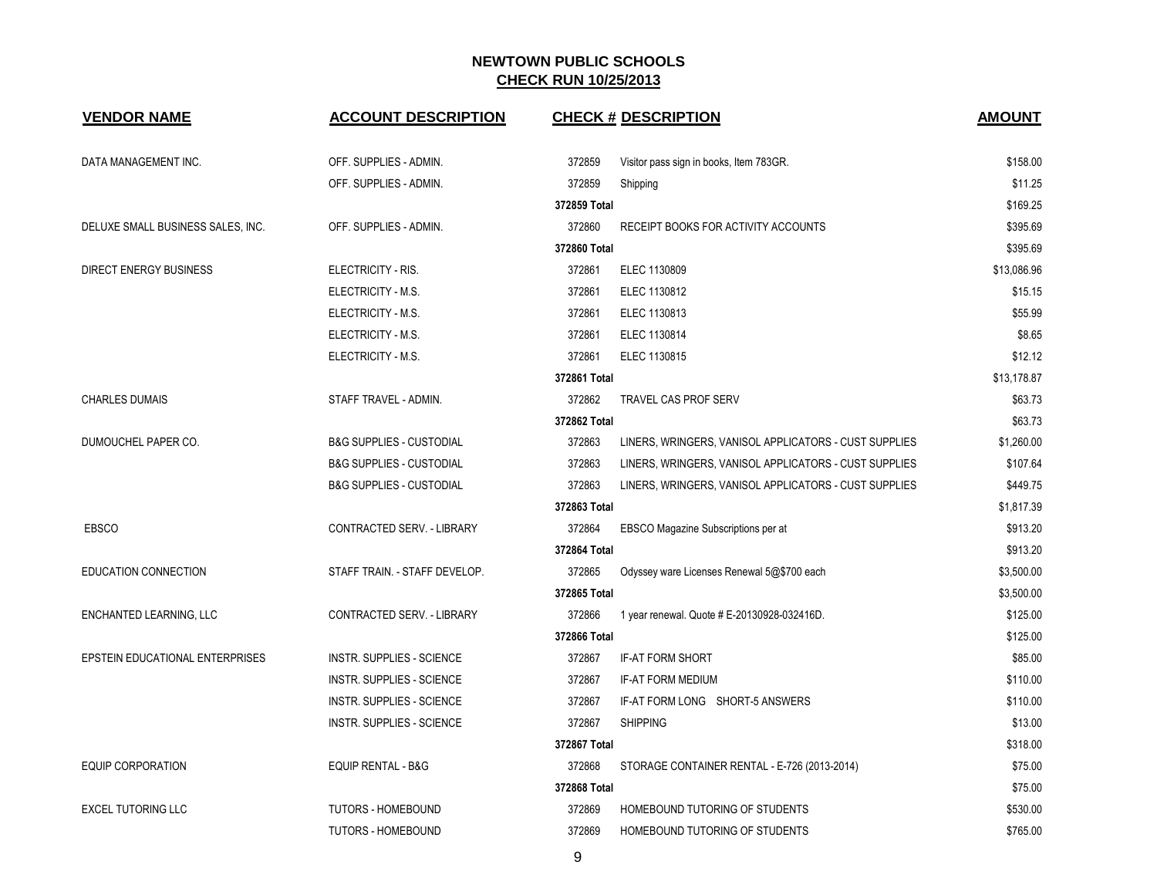| <b>VENDOR NAME</b>                | <b>ACCOUNT DESCRIPTION</b>          |              | <b>CHECK # DESCRIPTION</b>                            | <b>AMOUNT</b> |
|-----------------------------------|-------------------------------------|--------------|-------------------------------------------------------|---------------|
| DATA MANAGEMENT INC.              | OFF. SUPPLIES - ADMIN.              | 372859       | Visitor pass sign in books, Item 783GR.               | \$158.00      |
|                                   | OFF. SUPPLIES - ADMIN.              | 372859       | Shipping                                              | \$11.25       |
|                                   |                                     | 372859 Total |                                                       | \$169.25      |
| DELUXE SMALL BUSINESS SALES, INC. | OFF. SUPPLIES - ADMIN.              | 372860       | RECEIPT BOOKS FOR ACTIVITY ACCOUNTS                   | \$395.69      |
|                                   |                                     | 372860 Total |                                                       | \$395.69      |
| <b>DIRECT ENERGY BUSINESS</b>     | ELECTRICITY - RIS.                  | 372861       | ELEC 1130809                                          | \$13,086.96   |
|                                   | ELECTRICITY - M.S.                  | 372861       | ELEC 1130812                                          | \$15.15       |
|                                   | ELECTRICITY - M.S.                  | 372861       | ELEC 1130813                                          | \$55.99       |
|                                   | ELECTRICITY - M.S.                  | 372861       | ELEC 1130814                                          | \$8.65        |
|                                   | ELECTRICITY - M.S.                  | 372861       | ELEC 1130815                                          | \$12.12       |
|                                   |                                     | 372861 Total |                                                       | \$13,178.87   |
| <b>CHARLES DUMAIS</b>             | STAFF TRAVEL - ADMIN.               | 372862       | TRAVEL CAS PROF SERV                                  | \$63.73       |
|                                   |                                     | 372862 Total |                                                       | \$63.73       |
| DUMOUCHEL PAPER CO.               | <b>B&amp;G SUPPLIES - CUSTODIAL</b> | 372863       | LINERS, WRINGERS, VANISOL APPLICATORS - CUST SUPPLIES | \$1,260.00    |
|                                   | <b>B&amp;G SUPPLIES - CUSTODIAL</b> | 372863       | LINERS, WRINGERS, VANISOL APPLICATORS - CUST SUPPLIES | \$107.64      |
|                                   | <b>B&amp;G SUPPLIES - CUSTODIAL</b> | 372863       | LINERS, WRINGERS, VANISOL APPLICATORS - CUST SUPPLIES | \$449.75      |
|                                   |                                     | 372863 Total |                                                       | \$1,817.39    |
| <b>EBSCO</b>                      | CONTRACTED SERV. - LIBRARY          | 372864       | EBSCO Magazine Subscriptions per at                   | \$913.20      |
|                                   |                                     | 372864 Total |                                                       | \$913.20      |
| EDUCATION CONNECTION              | STAFF TRAIN. - STAFF DEVELOP.       | 372865       | Odyssey ware Licenses Renewal 5@\$700 each            | \$3,500.00    |
|                                   |                                     | 372865 Total |                                                       | \$3,500.00    |
| ENCHANTED LEARNING, LLC           | CONTRACTED SERV. - LIBRARY          | 372866       | 1 year renewal. Quote # E-20130928-032416D.           | \$125.00      |
|                                   |                                     | 372866 Total |                                                       | \$125.00      |
| EPSTEIN EDUCATIONAL ENTERPRISES   | <b>INSTR. SUPPLIES - SCIENCE</b>    | 372867       | IF-AT FORM SHORT                                      | \$85.00       |
|                                   | <b>INSTR. SUPPLIES - SCIENCE</b>    | 372867       | <b>IF-AT FORM MEDIUM</b>                              | \$110.00      |
|                                   | <b>INSTR. SUPPLIES - SCIENCE</b>    | 372867       | IF-AT FORM LONG SHORT-5 ANSWERS                       | \$110.00      |
|                                   | <b>INSTR. SUPPLIES - SCIENCE</b>    | 372867       | <b>SHIPPING</b>                                       | \$13.00       |
|                                   |                                     | 372867 Total |                                                       | \$318.00      |
| EQUIP CORPORATION                 | EQUIP RENTAL - B&G                  | 372868       | STORAGE CONTAINER RENTAL - E-726 (2013-2014)          | \$75.00       |
|                                   |                                     | 372868 Total |                                                       | \$75.00       |
| <b>EXCEL TUTORING LLC</b>         | TUTORS - HOMEBOUND                  | 372869       | HOMEBOUND TUTORING OF STUDENTS                        | \$530.00      |
|                                   | <b>TUTORS - HOMEBOUND</b>           | 372869       | HOMEBOUND TUTORING OF STUDENTS                        | \$765.00      |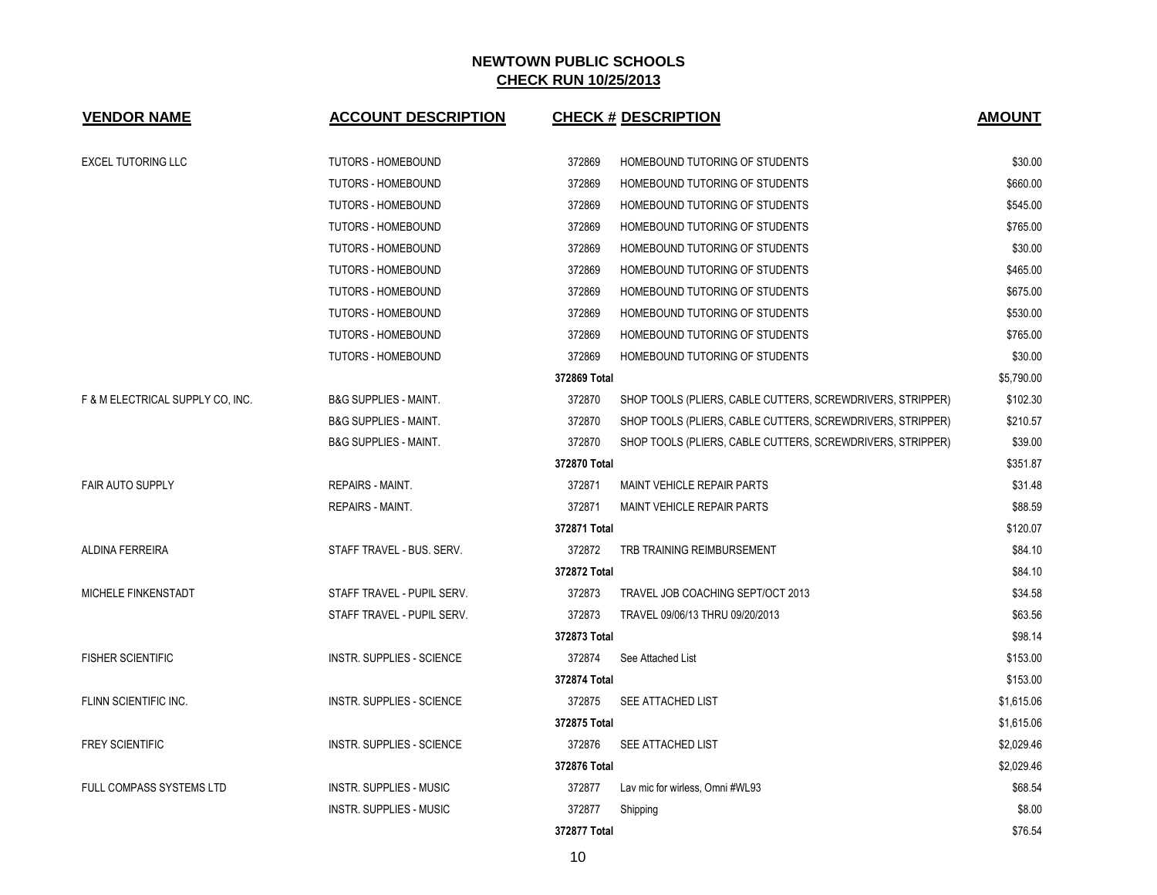| <b>VENDOR NAME</b>               | <b>ACCOUNT DESCRIPTION</b>       |              | <b>CHECK # DESCRIPTION</b>                                 | <b>AMOUNT</b> |
|----------------------------------|----------------------------------|--------------|------------------------------------------------------------|---------------|
| <b>EXCEL TUTORING LLC</b>        | <b>TUTORS - HOMEBOUND</b>        | 372869       | HOMEBOUND TUTORING OF STUDENTS                             | \$30.00       |
|                                  | <b>TUTORS - HOMEBOUND</b>        | 372869       | HOMEBOUND TUTORING OF STUDENTS                             | \$660.00      |
|                                  | <b>TUTORS - HOMEBOUND</b>        | 372869       | HOMEBOUND TUTORING OF STUDENTS                             | \$545.00      |
|                                  | <b>TUTORS - HOMEBOUND</b>        | 372869       | HOMEBOUND TUTORING OF STUDENTS                             | \$765.00      |
|                                  | <b>TUTORS - HOMEBOUND</b>        | 372869       | HOMEBOUND TUTORING OF STUDENTS                             | \$30.00       |
|                                  | <b>TUTORS - HOMEBOUND</b>        | 372869       | HOMEBOUND TUTORING OF STUDENTS                             | \$465.00      |
|                                  | <b>TUTORS - HOMEBOUND</b>        | 372869       | HOMEBOUND TUTORING OF STUDENTS                             | \$675.00      |
|                                  | <b>TUTORS - HOMEBOUND</b>        | 372869       | HOMEBOUND TUTORING OF STUDENTS                             | \$530.00      |
|                                  | <b>TUTORS - HOMEBOUND</b>        | 372869       | HOMEBOUND TUTORING OF STUDENTS                             | \$765.00      |
|                                  | <b>TUTORS - HOMEBOUND</b>        | 372869       | HOMEBOUND TUTORING OF STUDENTS                             | \$30.00       |
|                                  |                                  | 372869 Total |                                                            | \$5,790.00    |
| F & M ELECTRICAL SUPPLY CO. INC. | <b>B&amp;G SUPPLIES - MAINT.</b> | 372870       | SHOP TOOLS (PLIERS, CABLE CUTTERS, SCREWDRIVERS, STRIPPER) | \$102.30      |
|                                  | <b>B&amp;G SUPPLIES - MAINT.</b> | 372870       | SHOP TOOLS (PLIERS, CABLE CUTTERS, SCREWDRIVERS, STRIPPER) | \$210.57      |
|                                  | <b>B&amp;G SUPPLIES - MAINT.</b> | 372870       | SHOP TOOLS (PLIERS, CABLE CUTTERS, SCREWDRIVERS, STRIPPER) | \$39.00       |
|                                  |                                  | 372870 Total |                                                            | \$351.87      |
| <b>FAIR AUTO SUPPLY</b>          | <b>REPAIRS - MAINT.</b>          | 372871       | MAINT VEHICLE REPAIR PARTS                                 | \$31.48       |
|                                  | <b>REPAIRS - MAINT.</b>          | 372871       | <b>MAINT VEHICLE REPAIR PARTS</b>                          | \$88.59       |
|                                  |                                  | 372871 Total |                                                            | \$120.07      |
| <b>ALDINA FERREIRA</b>           | STAFF TRAVEL - BUS, SERV.        | 372872       | TRB TRAINING REIMBURSEMENT                                 | \$84.10       |
|                                  |                                  | 372872 Total |                                                            | \$84.10       |
| MICHELE FINKENSTADT              | STAFF TRAVEL - PUPIL SERV.       | 372873       | TRAVEL JOB COACHING SEPT/OCT 2013                          | \$34.58       |
|                                  | STAFF TRAVEL - PUPIL SERV.       | 372873       | TRAVEL 09/06/13 THRU 09/20/2013                            | \$63.56       |
|                                  |                                  | 372873 Total |                                                            | \$98.14       |
| <b>FISHER SCIENTIFIC</b>         | <b>INSTR. SUPPLIES - SCIENCE</b> | 372874       | See Attached List                                          | \$153.00      |
|                                  |                                  | 372874 Total |                                                            | \$153.00      |
| FLINN SCIENTIFIC INC.            | <b>INSTR. SUPPLIES - SCIENCE</b> | 372875       | <b>SEE ATTACHED LIST</b>                                   | \$1,615.06    |
|                                  |                                  | 372875 Total |                                                            | \$1,615.06    |
| <b>FREY SCIENTIFIC</b>           | <b>INSTR. SUPPLIES - SCIENCE</b> | 372876       | SEE ATTACHED LIST                                          | \$2,029.46    |
|                                  |                                  | 372876 Total |                                                            | \$2,029.46    |
| FULL COMPASS SYSTEMS LTD         | <b>INSTR. SUPPLIES - MUSIC</b>   | 372877       | Lav mic for wirless, Omni #WL93                            | \$68.54       |
|                                  | <b>INSTR. SUPPLIES - MUSIC</b>   | 372877       | Shipping                                                   | \$8.00        |
|                                  |                                  | 372877 Total |                                                            | \$76.54       |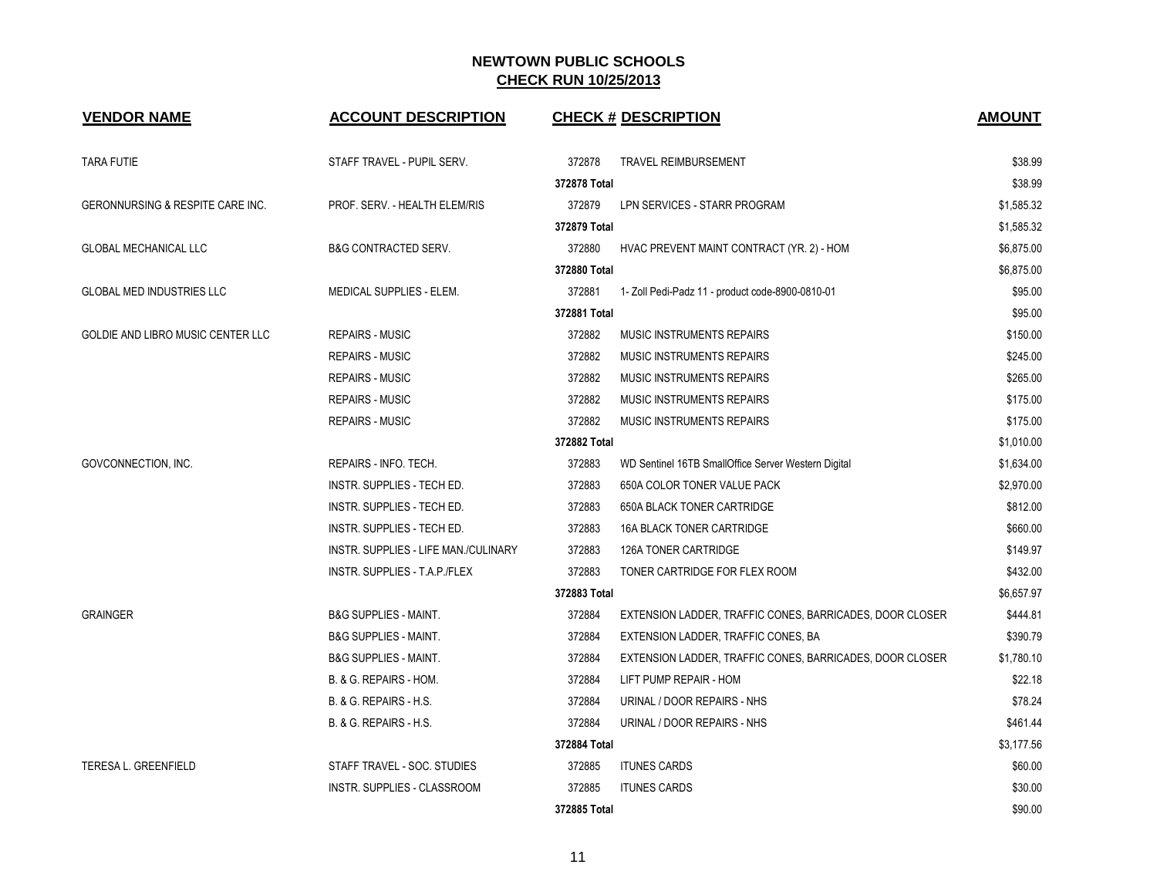| <b>VENDOR NAME</b>                          | <b>ACCOUNT DESCRIPTION</b>           |              | <b>CHECK # DESCRIPTION</b>                               | <b>AMOUNT</b> |
|---------------------------------------------|--------------------------------------|--------------|----------------------------------------------------------|---------------|
| <b>TARA FUTIE</b>                           | STAFF TRAVEL - PUPIL SERV.           | 372878       | <b>TRAVEL REIMBURSEMENT</b>                              | \$38.99       |
|                                             |                                      | 372878 Total |                                                          | \$38.99       |
| <b>GERONNURSING &amp; RESPITE CARE INC.</b> | PROF. SERV. - HEALTH ELEM/RIS        | 372879       | LPN SERVICES - STARR PROGRAM                             | \$1,585.32    |
|                                             |                                      | 372879 Total |                                                          | \$1,585.32    |
| <b>GLOBAL MECHANICAL LLC</b>                | <b>B&amp;G CONTRACTED SERV.</b>      | 372880       | HVAC PREVENT MAINT CONTRACT (YR. 2) - HOM                | \$6,875.00    |
|                                             |                                      | 372880 Total |                                                          | \$6,875.00    |
| <b>GLOBAL MED INDUSTRIES LLC</b>            | MEDICAL SUPPLIES - ELEM.             | 372881       | 1- Zoll Pedi-Padz 11 - product code-8900-0810-01         | \$95.00       |
|                                             |                                      | 372881 Total |                                                          | \$95.00       |
| GOLDIE AND LIBRO MUSIC CENTER LLC           | <b>REPAIRS - MUSIC</b>               | 372882       | <b>MUSIC INSTRUMENTS REPAIRS</b>                         | \$150.00      |
|                                             | <b>REPAIRS - MUSIC</b>               | 372882       | <b>MUSIC INSTRUMENTS REPAIRS</b>                         | \$245.00      |
|                                             | <b>REPAIRS - MUSIC</b>               | 372882       | <b>MUSIC INSTRUMENTS REPAIRS</b>                         | \$265.00      |
|                                             | <b>REPAIRS - MUSIC</b>               | 372882       | MUSIC INSTRUMENTS REPAIRS                                | \$175.00      |
|                                             | <b>REPAIRS - MUSIC</b>               | 372882       | <b>MUSIC INSTRUMENTS REPAIRS</b>                         | \$175.00      |
|                                             |                                      | 372882 Total |                                                          | \$1,010.00    |
| GOVCONNECTION, INC.                         | REPAIRS - INFO. TECH.                | 372883       | WD Sentinel 16TB SmallOffice Server Western Digital      | \$1,634.00    |
|                                             | INSTR. SUPPLIES - TECH ED.           | 372883       | 650A COLOR TONER VALUE PACK                              | \$2,970.00    |
|                                             | INSTR. SUPPLIES - TECH ED.           | 372883       | <b>650A BLACK TONER CARTRIDGE</b>                        | \$812.00      |
|                                             | <b>INSTR. SUPPLIES - TECH ED.</b>    | 372883       | <b>16A BLACK TONER CARTRIDGE</b>                         | \$660.00      |
|                                             | INSTR. SUPPLIES - LIFE MAN./CULINARY | 372883       | 126A TONER CARTRIDGE                                     | \$149.97      |
|                                             | INSTR. SUPPLIES - T.A.P./FLEX        | 372883       | TONER CARTRIDGE FOR FLEX ROOM                            | \$432.00      |
|                                             |                                      | 372883 Total |                                                          | \$6,657.97    |
| <b>GRAINGER</b>                             | <b>B&amp;G SUPPLIES - MAINT.</b>     | 372884       | EXTENSION LADDER, TRAFFIC CONES, BARRICADES, DOOR CLOSER | \$444.81      |
|                                             | <b>B&amp;G SUPPLIES - MAINT.</b>     | 372884       | EXTENSION LADDER, TRAFFIC CONES, BA                      | \$390.79      |
|                                             | <b>B&amp;G SUPPLIES - MAINT.</b>     | 372884       | EXTENSION LADDER, TRAFFIC CONES, BARRICADES, DOOR CLOSER | \$1,780.10    |
|                                             | B. & G. REPAIRS - HOM.               | 372884       | LIFT PUMP REPAIR - HOM                                   | \$22.18       |
|                                             | B. & G. REPAIRS - H.S.               | 372884       | URINAL / DOOR REPAIRS - NHS                              | \$78.24       |
|                                             | B. & G. REPAIRS - H.S.               | 372884       | URINAL / DOOR REPAIRS - NHS                              | \$461.44      |
|                                             |                                      | 372884 Total |                                                          | \$3,177.56    |
| TERESA L. GREENFIELD                        | STAFF TRAVEL - SOC. STUDIES          | 372885       | <b>ITUNES CARDS</b>                                      | \$60.00       |
|                                             | INSTR. SUPPLIES - CLASSROOM          | 372885       | <b>ITUNES CARDS</b>                                      | \$30.00       |
|                                             |                                      | 372885 Total |                                                          | \$90.00       |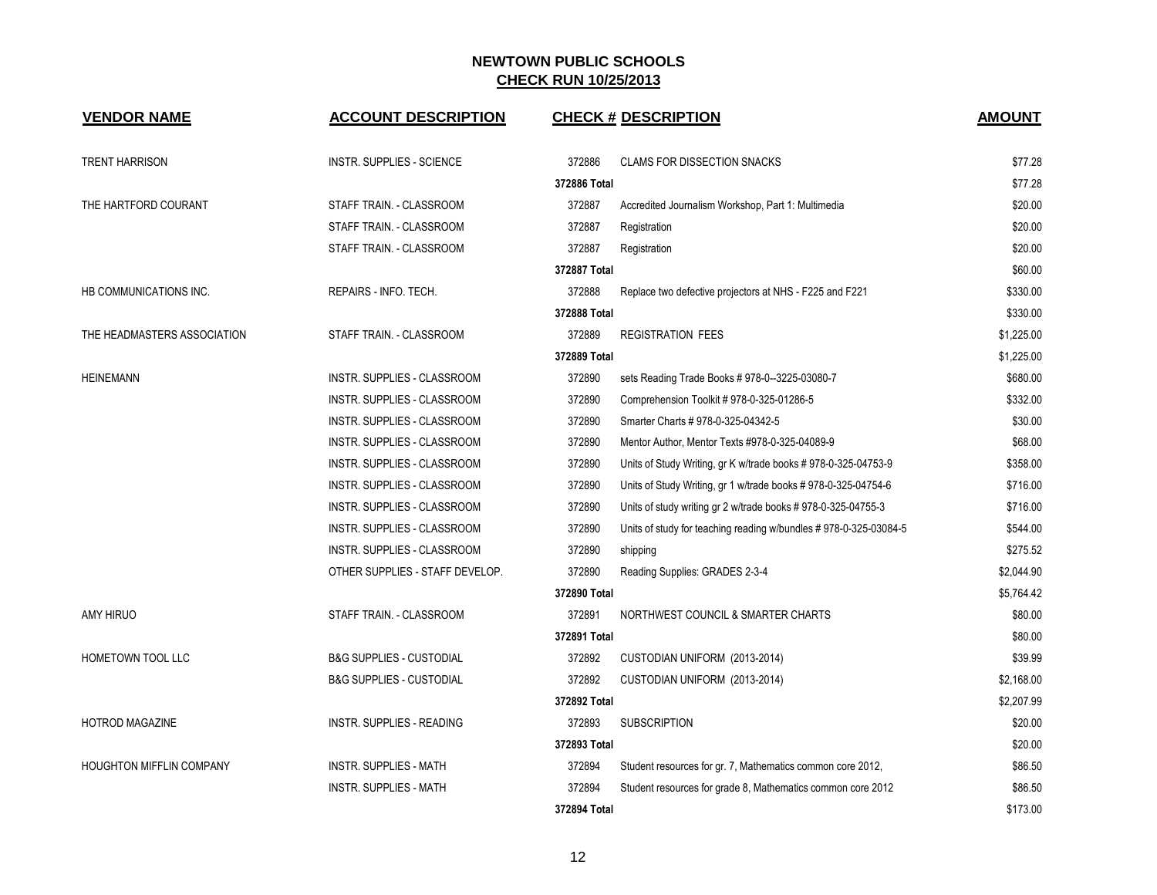| <b>VENDOR NAME</b>              | <b>ACCOUNT DESCRIPTION</b>          |              | <b>CHECK # DESCRIPTION</b>                                       | <b>AMOUNT</b> |
|---------------------------------|-------------------------------------|--------------|------------------------------------------------------------------|---------------|
| <b>TRENT HARRISON</b>           | <b>INSTR. SUPPLIES - SCIENCE</b>    | 372886       | <b>CLAMS FOR DISSECTION SNACKS</b>                               | \$77.28       |
|                                 |                                     | 372886 Total |                                                                  | \$77.28       |
| THE HARTFORD COURANT            | STAFF TRAIN. - CLASSROOM            | 372887       | Accredited Journalism Workshop, Part 1: Multimedia               | \$20.00       |
|                                 | STAFF TRAIN. - CLASSROOM            | 372887       | Registration                                                     | \$20.00       |
|                                 | STAFF TRAIN. - CLASSROOM            | 372887       | Registration                                                     | \$20.00       |
|                                 |                                     | 372887 Total |                                                                  | \$60.00       |
| HB COMMUNICATIONS INC.          | REPAIRS - INFO. TECH.               | 372888       | Replace two defective projectors at NHS - F225 and F221          | \$330.00      |
|                                 |                                     | 372888 Total |                                                                  | \$330.00      |
| THE HEADMASTERS ASSOCIATION     | STAFF TRAIN. - CLASSROOM            | 372889       | <b>REGISTRATION FEES</b>                                         | \$1,225.00    |
|                                 |                                     | \$1,225.00   |                                                                  |               |
| <b>HEINEMANN</b>                | INSTR. SUPPLIES - CLASSROOM         | 372890       | sets Reading Trade Books #978-0--3225-03080-7                    | \$680.00      |
|                                 | INSTR. SUPPLIES - CLASSROOM         | 372890       | Comprehension Toolkit # 978-0-325-01286-5                        | \$332.00      |
|                                 | INSTR. SUPPLIES - CLASSROOM         | 372890       | Smarter Charts # 978-0-325-04342-5                               | \$30.00       |
|                                 | INSTR. SUPPLIES - CLASSROOM         | 372890       | Mentor Author, Mentor Texts #978-0-325-04089-9                   | \$68.00       |
|                                 | INSTR. SUPPLIES - CLASSROOM         | 372890       | Units of Study Writing, gr K w/trade books # 978-0-325-04753-9   | \$358.00      |
|                                 | INSTR. SUPPLIES - CLASSROOM         | 372890       | Units of Study Writing, gr 1 w/trade books # 978-0-325-04754-6   | \$716.00      |
|                                 | INSTR. SUPPLIES - CLASSROOM         | 372890       | Units of study writing gr 2 w/trade books # 978-0-325-04755-3    | \$716.00      |
|                                 | INSTR. SUPPLIES - CLASSROOM         | 372890       | Units of study for teaching reading w/bundles #978-0-325-03084-5 | \$544.00      |
|                                 | INSTR. SUPPLIES - CLASSROOM         | 372890       | shipping                                                         | \$275.52      |
|                                 | OTHER SUPPLIES - STAFF DEVELOP.     | 372890       | Reading Supplies: GRADES 2-3-4                                   | \$2,044.90    |
|                                 |                                     | 372890 Total |                                                                  | \$5,764.42    |
| <b>AMY HIRUO</b>                | STAFF TRAIN. - CLASSROOM            | 372891       | NORTHWEST COUNCIL & SMARTER CHARTS                               | \$80.00       |
|                                 |                                     | 372891 Total |                                                                  | \$80.00       |
| <b>HOMETOWN TOOL LLC</b>        | <b>B&amp;G SUPPLIES - CUSTODIAL</b> | 372892       | CUSTODIAN UNIFORM (2013-2014)                                    | \$39.99       |
|                                 | <b>B&amp;G SUPPLIES - CUSTODIAL</b> | 372892       | CUSTODIAN UNIFORM (2013-2014)                                    | \$2,168.00    |
|                                 |                                     | 372892 Total |                                                                  | \$2,207.99    |
| <b>HOTROD MAGAZINE</b>          | <b>INSTR. SUPPLIES - READING</b>    | 372893       | <b>SUBSCRIPTION</b>                                              | \$20.00       |
|                                 |                                     | 372893 Total |                                                                  | \$20.00       |
| <b>HOUGHTON MIFFLIN COMPANY</b> | <b>INSTR. SUPPLIES - MATH</b>       | 372894       | Student resources for gr. 7, Mathematics common core 2012,       | \$86.50       |
|                                 | <b>INSTR. SUPPLIES - MATH</b>       | 372894       | Student resources for grade 8, Mathematics common core 2012      | \$86.50       |
|                                 |                                     | 372894 Total |                                                                  | \$173.00      |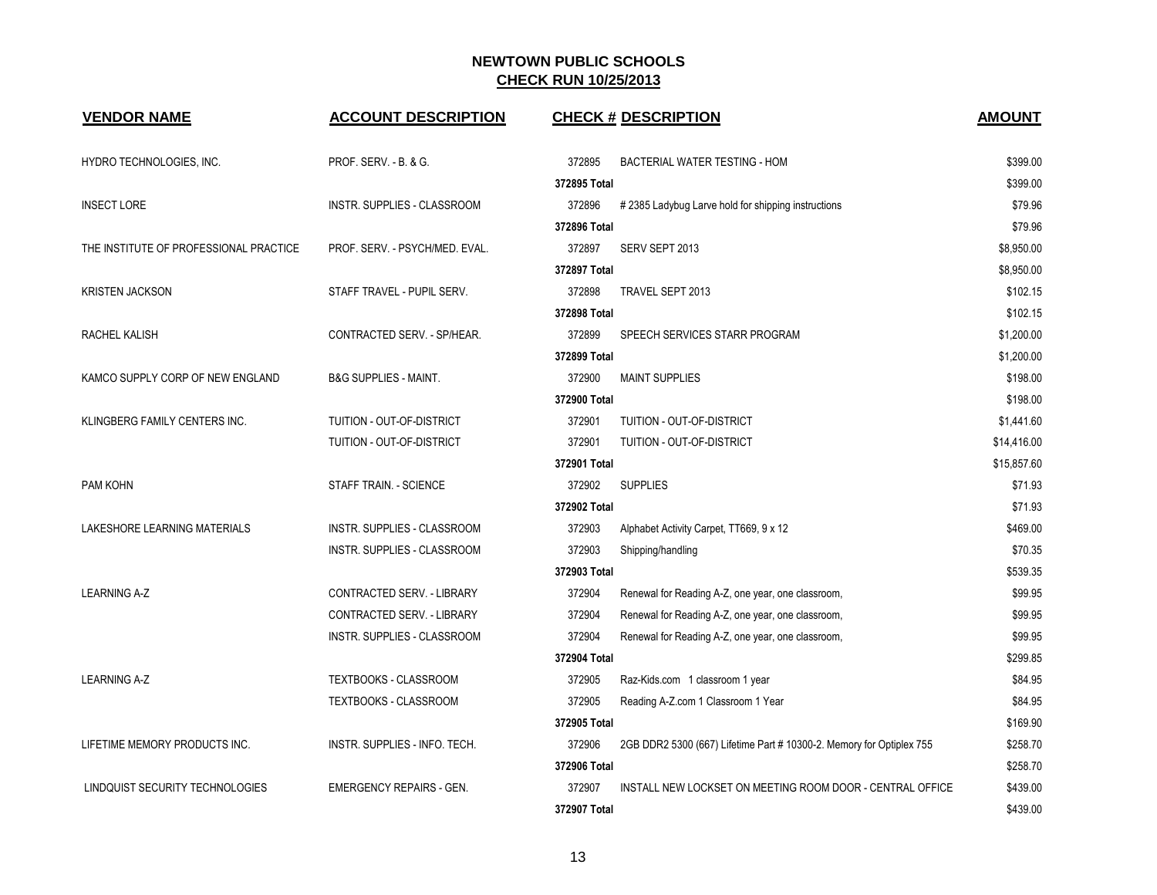| <b>VENDOR NAME</b>                     | <b>ACCOUNT DESCRIPTION</b>         | <b>CHECK # DESCRIPTION</b>                                                     | <b>AMOUNT</b> |
|----------------------------------------|------------------------------------|--------------------------------------------------------------------------------|---------------|
| HYDRO TECHNOLOGIES, INC.               | <b>PROF. SERV. - B. &amp; G.</b>   | 372895<br>BACTERIAL WATER TESTING - HOM                                        | \$399.00      |
|                                        |                                    | 372895 Total                                                                   | \$399.00      |
| <b>INSECT LORE</b>                     | <b>INSTR. SUPPLIES - CLASSROOM</b> | 372896<br>#2385 Ladybug Larve hold for shipping instructions                   | \$79.96       |
|                                        |                                    | 372896 Total                                                                   | \$79.96       |
| THE INSTITUTE OF PROFESSIONAL PRACTICE | PROF. SERV. - PSYCH/MED. EVAL.     | 372897<br>SERV SEPT 2013                                                       | \$8,950.00    |
|                                        |                                    | 372897 Total                                                                   | \$8,950.00    |
| <b>KRISTEN JACKSON</b>                 | STAFF TRAVEL - PUPIL SERV.         | 372898<br>TRAVEL SEPT 2013                                                     | \$102.15      |
|                                        |                                    | 372898 Total                                                                   | \$102.15      |
| RACHEL KALISH                          | CONTRACTED SERV. - SP/HEAR.        | 372899<br>SPEECH SERVICES STARR PROGRAM                                        | \$1,200.00    |
|                                        |                                    | 372899 Total                                                                   | \$1,200.00    |
| KAMCO SUPPLY CORP OF NEW ENGLAND       | <b>B&amp;G SUPPLIES - MAINT.</b>   | 372900<br><b>MAINT SUPPLIES</b>                                                | \$198.00      |
|                                        |                                    | 372900 Total                                                                   | \$198.00      |
| KLINGBERG FAMILY CENTERS INC.          | TUITION - OUT-OF-DISTRICT          | 372901<br>TUITION - OUT-OF-DISTRICT                                            | \$1,441.60    |
|                                        | TUITION - OUT-OF-DISTRICT          | 372901<br>TUITION - OUT-OF-DISTRICT                                            | \$14,416.00   |
|                                        |                                    | 372901 Total                                                                   | \$15,857.60   |
| PAM KOHN                               | STAFF TRAIN. - SCIENCE             | 372902<br><b>SUPPLIES</b>                                                      | \$71.93       |
|                                        |                                    | 372902 Total                                                                   | \$71.93       |
| LAKESHORE LEARNING MATERIALS           | INSTR. SUPPLIES - CLASSROOM        | 372903<br>Alphabet Activity Carpet, TT669, 9 x 12                              | \$469.00      |
|                                        | INSTR. SUPPLIES - CLASSROOM        | 372903<br>Shipping/handling                                                    | \$70.35       |
|                                        |                                    | 372903 Total                                                                   | \$539.35      |
| <b>LEARNING A-Z</b>                    | CONTRACTED SERV. - LIBRARY         | 372904<br>Renewal for Reading A-Z, one year, one classroom,                    | \$99.95       |
|                                        | CONTRACTED SERV. - LIBRARY         | 372904<br>Renewal for Reading A-Z, one year, one classroom,                    | \$99.95       |
|                                        | INSTR. SUPPLIES - CLASSROOM        | 372904<br>Renewal for Reading A-Z, one year, one classroom,                    | \$99.95       |
|                                        |                                    | 372904 Total                                                                   | \$299.85      |
| <b>LEARNING A-Z</b>                    | <b>TEXTBOOKS - CLASSROOM</b>       | 372905<br>Raz-Kids.com 1 classroom 1 year                                      | \$84.95       |
|                                        | TEXTBOOKS - CLASSROOM              | 372905<br>Reading A-Z.com 1 Classroom 1 Year                                   | \$84.95       |
|                                        |                                    | 372905 Total                                                                   | \$169.90      |
| LIFETIME MEMORY PRODUCTS INC.          | INSTR. SUPPLIES - INFO. TECH.      | 372906<br>2GB DDR2 5300 (667) Lifetime Part # 10300-2. Memory for Optiplex 755 | \$258.70      |
|                                        |                                    | 372906 Total                                                                   | \$258.70      |
| LINDQUIST SECURITY TECHNOLOGIES        | EMERGENCY REPAIRS - GEN.           | INSTALL NEW LOCKSET ON MEETING ROOM DOOR - CENTRAL OFFICE<br>372907            | \$439.00      |
|                                        |                                    | 372907 Total                                                                   | \$439.00      |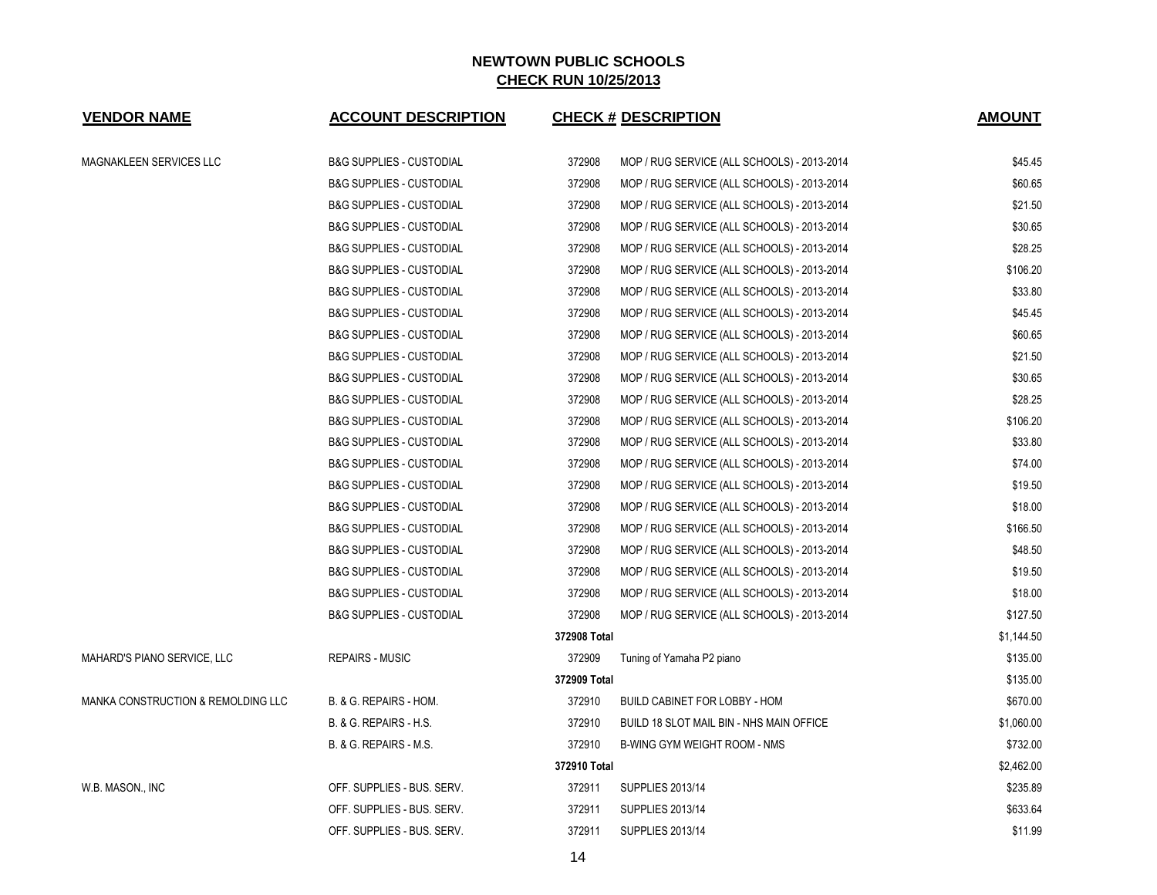| <b>VENDOR NAME</b>                            | <b>ACCOUNT DESCRIPTION</b>          |              | <b>CHECK # DESCRIPTION</b>                  | <b>AMOUNT</b> |
|-----------------------------------------------|-------------------------------------|--------------|---------------------------------------------|---------------|
| MAGNAKLEEN SERVICES LLC                       | <b>B&amp;G SUPPLIES - CUSTODIAL</b> | 372908       | MOP / RUG SERVICE (ALL SCHOOLS) - 2013-2014 | \$45.45       |
|                                               | <b>B&amp;G SUPPLIES - CUSTODIAL</b> | 372908       | MOP / RUG SERVICE (ALL SCHOOLS) - 2013-2014 | \$60.65       |
|                                               | <b>B&amp;G SUPPLIES - CUSTODIAL</b> | 372908       | MOP / RUG SERVICE (ALL SCHOOLS) - 2013-2014 | \$21.50       |
|                                               | <b>B&amp;G SUPPLIES - CUSTODIAL</b> | 372908       | MOP / RUG SERVICE (ALL SCHOOLS) - 2013-2014 | \$30.65       |
|                                               | <b>B&amp;G SUPPLIES - CUSTODIAL</b> | 372908       | MOP / RUG SERVICE (ALL SCHOOLS) - 2013-2014 | \$28.25       |
|                                               | <b>B&amp;G SUPPLIES - CUSTODIAL</b> | 372908       | MOP / RUG SERVICE (ALL SCHOOLS) - 2013-2014 | \$106.20      |
|                                               | <b>B&amp;G SUPPLIES - CUSTODIAL</b> | 372908       | MOP / RUG SERVICE (ALL SCHOOLS) - 2013-2014 | \$33.80       |
|                                               | <b>B&amp;G SUPPLIES - CUSTODIAL</b> | 372908       | MOP / RUG SERVICE (ALL SCHOOLS) - 2013-2014 | \$45.45       |
|                                               | <b>B&amp;G SUPPLIES - CUSTODIAL</b> | 372908       | MOP / RUG SERVICE (ALL SCHOOLS) - 2013-2014 | \$60.65       |
|                                               | <b>B&amp;G SUPPLIES - CUSTODIAL</b> | 372908       | MOP / RUG SERVICE (ALL SCHOOLS) - 2013-2014 | \$21.50       |
|                                               | <b>B&amp;G SUPPLIES - CUSTODIAL</b> | 372908       | MOP / RUG SERVICE (ALL SCHOOLS) - 2013-2014 | \$30.65       |
|                                               | <b>B&amp;G SUPPLIES - CUSTODIAL</b> | 372908       | MOP / RUG SERVICE (ALL SCHOOLS) - 2013-2014 | \$28.25       |
|                                               | <b>B&amp;G SUPPLIES - CUSTODIAL</b> | 372908       | MOP / RUG SERVICE (ALL SCHOOLS) - 2013-2014 | \$106.20      |
|                                               | <b>B&amp;G SUPPLIES - CUSTODIAL</b> | 372908       | MOP / RUG SERVICE (ALL SCHOOLS) - 2013-2014 | \$33.80       |
|                                               | <b>B&amp;G SUPPLIES - CUSTODIAL</b> | 372908       | MOP / RUG SERVICE (ALL SCHOOLS) - 2013-2014 | \$74.00       |
|                                               | <b>B&amp;G SUPPLIES - CUSTODIAL</b> | 372908       | MOP / RUG SERVICE (ALL SCHOOLS) - 2013-2014 | \$19.50       |
|                                               | <b>B&amp;G SUPPLIES - CUSTODIAL</b> | 372908       | MOP / RUG SERVICE (ALL SCHOOLS) - 2013-2014 | \$18.00       |
|                                               | <b>B&amp;G SUPPLIES - CUSTODIAL</b> | 372908       | MOP / RUG SERVICE (ALL SCHOOLS) - 2013-2014 | \$166.50      |
|                                               | <b>B&amp;G SUPPLIES - CUSTODIAL</b> | 372908       | MOP / RUG SERVICE (ALL SCHOOLS) - 2013-2014 | \$48.50       |
|                                               | <b>B&amp;G SUPPLIES - CUSTODIAL</b> | 372908       | MOP / RUG SERVICE (ALL SCHOOLS) - 2013-2014 | \$19.50       |
|                                               | <b>B&amp;G SUPPLIES - CUSTODIAL</b> | 372908       | MOP / RUG SERVICE (ALL SCHOOLS) - 2013-2014 | \$18.00       |
|                                               | <b>B&amp;G SUPPLIES - CUSTODIAL</b> | 372908       | MOP / RUG SERVICE (ALL SCHOOLS) - 2013-2014 | \$127.50      |
|                                               |                                     | 372908 Total |                                             | \$1,144.50    |
| MAHARD'S PIANO SERVICE, LLC                   | <b>REPAIRS - MUSIC</b>              | 372909       | Tuning of Yamaha P2 piano                   | \$135.00      |
|                                               |                                     | 372909 Total |                                             | \$135.00      |
| <b>MANKA CONSTRUCTION &amp; REMOLDING LLC</b> | B. & G. REPAIRS - HOM.              | 372910       | BUILD CABINET FOR LOBBY - HOM               | \$670.00      |
|                                               | B. & G. REPAIRS - H.S.              | 372910       | BUILD 18 SLOT MAIL BIN - NHS MAIN OFFICE    | \$1,060.00    |
|                                               | B. & G. REPAIRS - M.S.              | 372910       | B-WING GYM WEIGHT ROOM - NMS                | \$732.00      |
|                                               |                                     | 372910 Total |                                             | \$2,462.00    |
| W.B. MASON., INC                              | OFF. SUPPLIES - BUS. SERV.          | 372911       | <b>SUPPLIES 2013/14</b>                     | \$235.89      |
|                                               | OFF. SUPPLIES - BUS. SERV.          | 372911       | SUPPLIES 2013/14                            | \$633.64      |
|                                               | OFF. SUPPLIES - BUS. SERV.          | 372911       | <b>SUPPLIES 2013/14</b>                     | \$11.99       |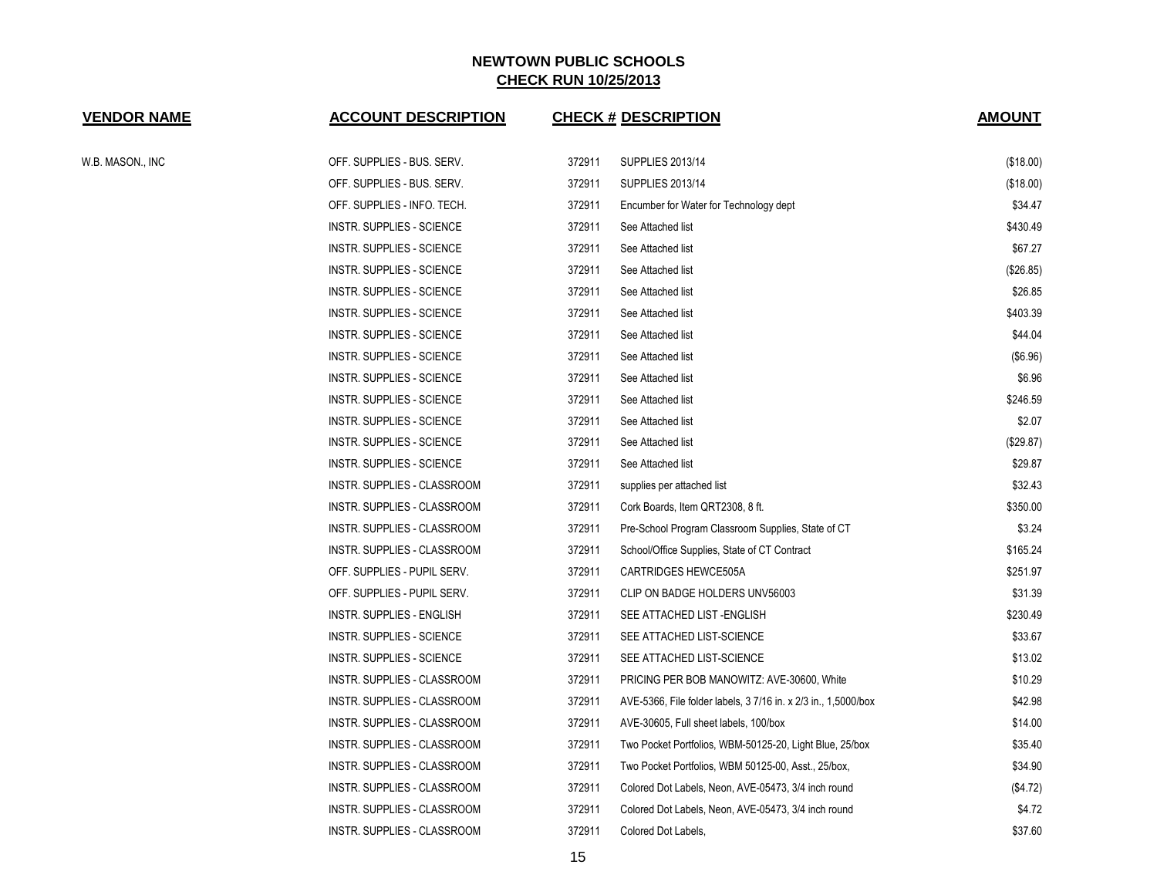| <b>VENDOR NAME</b> | <b>ACCOUNT DESCRIPTION</b>       |        | <b>CHECK # DESCRIPTION</b>                                     | <b>AMOUNT</b> |
|--------------------|----------------------------------|--------|----------------------------------------------------------------|---------------|
| W.B. MASON., INC   | OFF. SUPPLIES - BUS. SERV.       | 372911 | SUPPLIES 2013/14                                               | (\$18.00)     |
|                    | OFF. SUPPLIES - BUS. SERV.       | 372911 | SUPPLIES 2013/14                                               | (\$18.00)     |
|                    | OFF. SUPPLIES - INFO. TECH.      | 372911 | Encumber for Water for Technology dept                         | \$34.47       |
|                    | INSTR. SUPPLIES - SCIENCE        | 372911 | See Attached list                                              | \$430.49      |
|                    | INSTR. SUPPLIES - SCIENCE        | 372911 | See Attached list                                              | \$67.27       |
|                    | <b>INSTR. SUPPLIES - SCIENCE</b> | 372911 | See Attached list                                              | (\$26.85)     |
|                    | INSTR. SUPPLIES - SCIENCE        | 372911 | See Attached list                                              | \$26.85       |
|                    | INSTR. SUPPLIES - SCIENCE        | 372911 | See Attached list                                              | \$403.39      |
|                    | INSTR. SUPPLIES - SCIENCE        | 372911 | See Attached list                                              | \$44.04       |
|                    | INSTR. SUPPLIES - SCIENCE        | 372911 | See Attached list                                              | (\$6.96)      |
|                    | INSTR. SUPPLIES - SCIENCE        | 372911 | See Attached list                                              | \$6.96        |
|                    | INSTR. SUPPLIES - SCIENCE        | 372911 | See Attached list                                              | \$246.59      |
|                    | <b>INSTR. SUPPLIES - SCIENCE</b> | 372911 | See Attached list                                              | \$2.07        |
|                    | INSTR. SUPPLIES - SCIENCE        | 372911 | See Attached list                                              | (\$29.87)     |
|                    | INSTR. SUPPLIES - SCIENCE        | 372911 | See Attached list                                              | \$29.87       |
|                    | INSTR. SUPPLIES - CLASSROOM      | 372911 | supplies per attached list                                     | \$32.43       |
|                    | INSTR. SUPPLIES - CLASSROOM      | 372911 | Cork Boards, Item QRT2308, 8 ft.                               | \$350.00      |
|                    | INSTR. SUPPLIES - CLASSROOM      | 372911 | Pre-School Program Classroom Supplies, State of CT             | \$3.24        |
|                    | INSTR. SUPPLIES - CLASSROOM      | 372911 | School/Office Supplies, State of CT Contract                   | \$165.24      |
|                    | OFF. SUPPLIES - PUPIL SERV.      | 372911 | <b>CARTRIDGES HEWCE505A</b>                                    | \$251.97      |
|                    | OFF. SUPPLIES - PUPIL SERV.      | 372911 | CLIP ON BADGE HOLDERS UNV56003                                 | \$31.39       |
|                    | <b>INSTR. SUPPLIES - ENGLISH</b> | 372911 | SEE ATTACHED LIST - ENGLISH                                    | \$230.49      |
|                    | INSTR. SUPPLIES - SCIENCE        | 372911 | SEE ATTACHED LIST-SCIENCE                                      | \$33.67       |
|                    | <b>INSTR. SUPPLIES - SCIENCE</b> | 372911 | SEE ATTACHED LIST-SCIENCE                                      | \$13.02       |
|                    | INSTR. SUPPLIES - CLASSROOM      | 372911 | PRICING PER BOB MANOWITZ: AVE-30600, White                     | \$10.29       |
|                    | INSTR. SUPPLIES - CLASSROOM      | 372911 | AVE-5366, File folder labels, 3 7/16 in. x 2/3 in., 1,5000/box | \$42.98       |
|                    | INSTR. SUPPLIES - CLASSROOM      | 372911 | AVE-30605, Full sheet labels, 100/box                          | \$14.00       |
|                    | INSTR. SUPPLIES - CLASSROOM      | 372911 | Two Pocket Portfolios, WBM-50125-20, Light Blue, 25/box        | \$35.40       |
|                    | INSTR. SUPPLIES - CLASSROOM      | 372911 | Two Pocket Portfolios, WBM 50125-00, Asst., 25/box,            | \$34.90       |
|                    | INSTR. SUPPLIES - CLASSROOM      | 372911 | Colored Dot Labels, Neon, AVE-05473, 3/4 inch round            | (\$4.72)      |
|                    | INSTR. SUPPLIES - CLASSROOM      | 372911 | Colored Dot Labels, Neon, AVE-05473, 3/4 inch round            | \$4.72        |
|                    | INSTR. SUPPLIES - CLASSROOM      | 372911 | Colored Dot Labels,                                            | \$37.60       |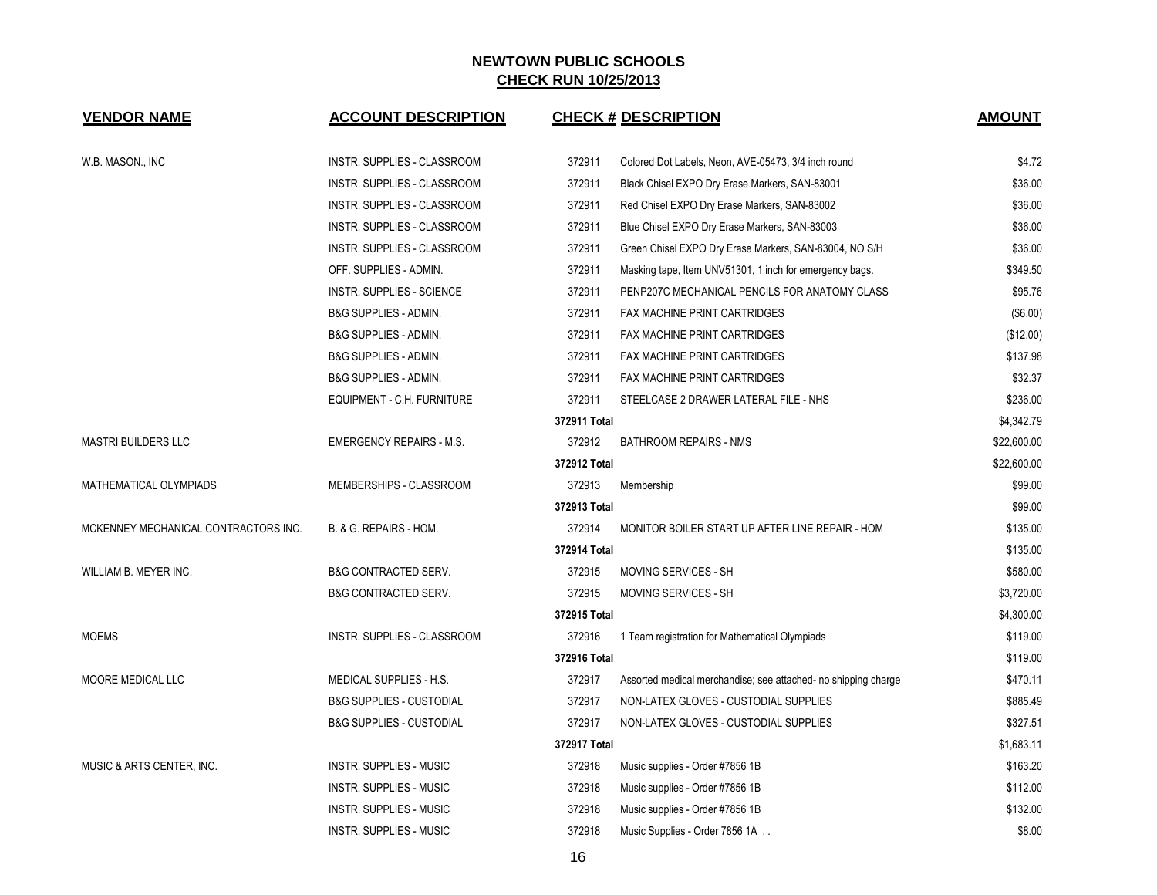| <b>VENDOR NAME</b>                   | <b>ACCOUNT DESCRIPTION</b>          |              | <b>CHECK # DESCRIPTION</b>                                     | <b>AMOUNT</b> |
|--------------------------------------|-------------------------------------|--------------|----------------------------------------------------------------|---------------|
| W.B. MASON., INC                     | INSTR. SUPPLIES - CLASSROOM         | 372911       | Colored Dot Labels, Neon, AVE-05473, 3/4 inch round            | \$4.72        |
|                                      | INSTR. SUPPLIES - CLASSROOM         | 372911       | Black Chisel EXPO Dry Erase Markers, SAN-83001                 | \$36.00       |
|                                      | INSTR. SUPPLIES - CLASSROOM         | 372911       | Red Chisel EXPO Dry Erase Markers, SAN-83002                   | \$36.00       |
|                                      | INSTR. SUPPLIES - CLASSROOM         | 372911       | Blue Chisel EXPO Dry Erase Markers, SAN-83003                  | \$36.00       |
|                                      | INSTR. SUPPLIES - CLASSROOM         | 372911       | Green Chisel EXPO Dry Erase Markers, SAN-83004, NO S/H         | \$36.00       |
|                                      | OFF. SUPPLIES - ADMIN.              | 372911       | Masking tape, Item UNV51301, 1 inch for emergency bags.        | \$349.50      |
|                                      | <b>INSTR. SUPPLIES - SCIENCE</b>    | 372911       | PENP207C MECHANICAL PENCILS FOR ANATOMY CLASS                  | \$95.76       |
|                                      | B&G SUPPLIES - ADMIN.               | 372911       | <b>FAX MACHINE PRINT CARTRIDGES</b>                            | ( \$6.00)     |
|                                      | <b>B&amp;G SUPPLIES - ADMIN.</b>    | 372911       | FAX MACHINE PRINT CARTRIDGES                                   | (\$12.00)     |
|                                      | <b>B&amp;G SUPPLIES - ADMIN.</b>    | 372911       | FAX MACHINE PRINT CARTRIDGES                                   | \$137.98      |
|                                      | <b>B&amp;G SUPPLIES - ADMIN.</b>    | 372911       | FAX MACHINE PRINT CARTRIDGES                                   | \$32.37       |
|                                      | EQUIPMENT - C.H. FURNITURE          | 372911       | STEELCASE 2 DRAWER LATERAL FILE - NHS                          | \$236.00      |
|                                      |                                     | 372911 Total |                                                                | \$4,342.79    |
| <b>MASTRI BUILDERS LLC</b>           | <b>EMERGENCY REPAIRS - M.S.</b>     | 372912       | <b>BATHROOM REPAIRS - NMS</b>                                  | \$22,600.00   |
|                                      |                                     | 372912 Total |                                                                | \$22,600.00   |
| MATHEMATICAL OLYMPIADS               | MEMBERSHIPS - CLASSROOM             | 372913       | Membership                                                     | \$99.00       |
|                                      |                                     | 372913 Total |                                                                | \$99.00       |
| MCKENNEY MECHANICAL CONTRACTORS INC. | B. & G. REPAIRS - HOM.              | 372914       | MONITOR BOILER START UP AFTER LINE REPAIR - HOM                | \$135.00      |
|                                      |                                     | 372914 Total |                                                                | \$135.00      |
| WILLIAM B. MEYER INC.                | <b>B&amp;G CONTRACTED SERV.</b>     | 372915       | MOVING SERVICES - SH                                           | \$580.00      |
|                                      | <b>B&amp;G CONTRACTED SERV.</b>     | 372915       | MOVING SERVICES - SH                                           | \$3,720.00    |
|                                      |                                     | 372915 Total |                                                                | \$4,300.00    |
| <b>MOEMS</b>                         | INSTR. SUPPLIES - CLASSROOM         | 372916       | 1 Team registration for Mathematical Olympiads                 | \$119.00      |
|                                      |                                     | 372916 Total |                                                                | \$119.00      |
| <b>MOORE MEDICAL LLC</b>             | MEDICAL SUPPLIES - H.S.             | 372917       | Assorted medical merchandise; see attached- no shipping charge | \$470.11      |
|                                      | <b>B&amp;G SUPPLIES - CUSTODIAL</b> | 372917       | NON-LATEX GLOVES - CUSTODIAL SUPPLIES                          | \$885.49      |
|                                      | <b>B&amp;G SUPPLIES - CUSTODIAL</b> | 372917       | NON-LATEX GLOVES - CUSTODIAL SUPPLIES                          | \$327.51      |
|                                      |                                     | 372917 Total |                                                                | \$1,683.11    |
| MUSIC & ARTS CENTER, INC.            | <b>INSTR. SUPPLIES - MUSIC</b>      | 372918       | Music supplies - Order #7856 1B                                | \$163.20      |
|                                      | INSTR. SUPPLIES - MUSIC             | 372918       | Music supplies - Order #7856 1B                                | \$112.00      |
|                                      | <b>INSTR. SUPPLIES - MUSIC</b>      | 372918       | Music supplies - Order #7856 1B                                | \$132.00      |
|                                      | <b>INSTR. SUPPLIES - MUSIC</b>      | 372918       | Music Supplies - Order 7856 1A                                 | \$8.00        |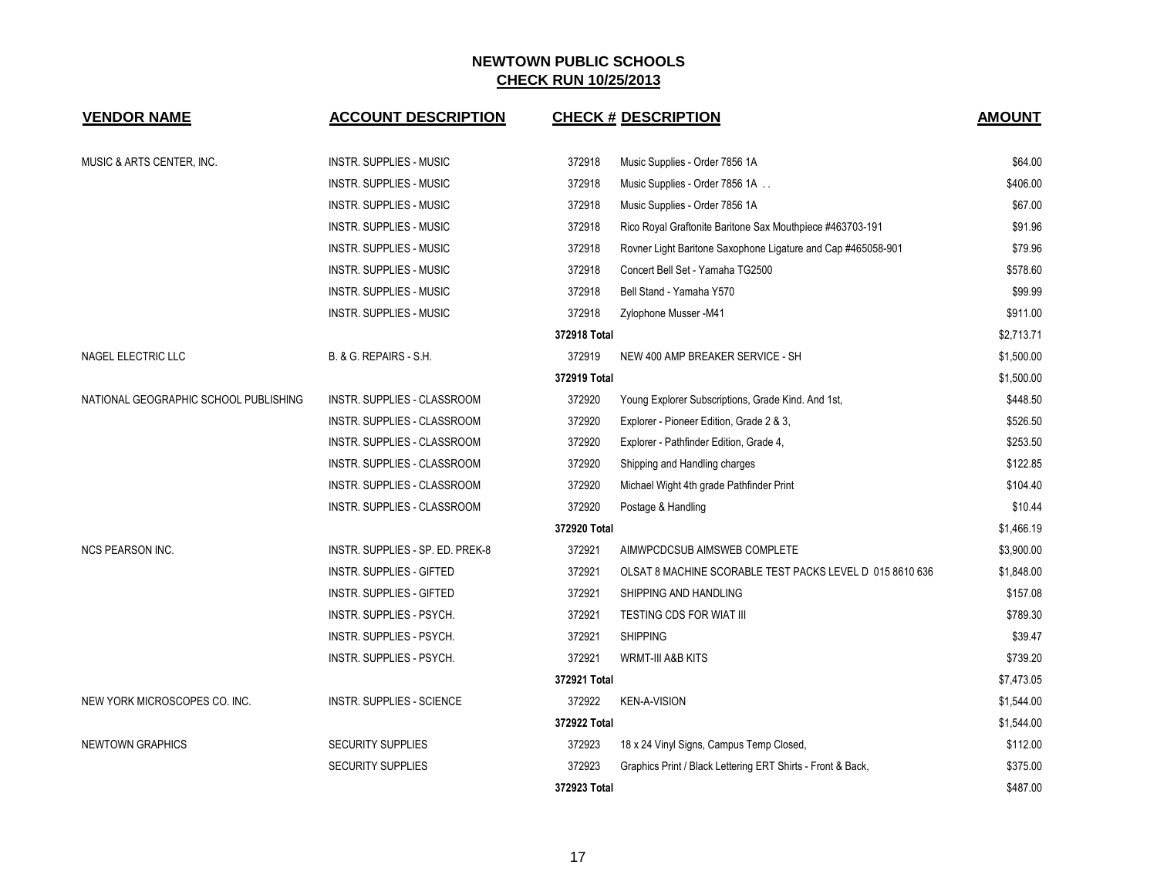| <b>VENDOR NAME</b>                    | <b>ACCOUNT DESCRIPTION</b>         |              | <b>CHECK # DESCRIPTION</b>                                   | <b>AMOUNT</b> |
|---------------------------------------|------------------------------------|--------------|--------------------------------------------------------------|---------------|
| MUSIC & ARTS CENTER, INC.             | <b>INSTR. SUPPLIES - MUSIC</b>     | 372918       | Music Supplies - Order 7856 1A                               | \$64.00       |
|                                       | <b>INSTR. SUPPLIES - MUSIC</b>     | 372918       | Music Supplies - Order 7856 1A                               | \$406.00      |
|                                       | INSTR. SUPPLIES - MUSIC            | 372918       | Music Supplies - Order 7856 1A                               | \$67.00       |
|                                       | <b>INSTR. SUPPLIES - MUSIC</b>     | 372918       | Rico Royal Graftonite Baritone Sax Mouthpiece #463703-191    | \$91.96       |
|                                       | <b>INSTR. SUPPLIES - MUSIC</b>     | 372918       | Rovner Light Baritone Saxophone Ligature and Cap #465058-901 | \$79.96       |
|                                       | <b>INSTR. SUPPLIES - MUSIC</b>     | 372918       | Concert Bell Set - Yamaha TG2500                             | \$578.60      |
|                                       | <b>INSTR. SUPPLIES - MUSIC</b>     | 372918       | Bell Stand - Yamaha Y570                                     | \$99.99       |
|                                       | <b>INSTR. SUPPLIES - MUSIC</b>     | 372918       | Zylophone Musser-M41                                         | \$911.00      |
|                                       |                                    | 372918 Total |                                                              | \$2,713.71    |
| NAGEL ELECTRIC LLC                    | B. & G. REPAIRS - S.H.             | 372919       | NEW 400 AMP BREAKER SERVICE - SH                             | \$1,500.00    |
|                                       |                                    | 372919 Total |                                                              | \$1,500.00    |
| NATIONAL GEOGRAPHIC SCHOOL PUBLISHING | INSTR. SUPPLIES - CLASSROOM        | 372920       | Young Explorer Subscriptions, Grade Kind. And 1st,           | \$448.50      |
|                                       | INSTR. SUPPLIES - CLASSROOM        | 372920       | Explorer - Pioneer Edition, Grade 2 & 3,                     | \$526.50      |
|                                       | <b>INSTR. SUPPLIES - CLASSROOM</b> | 372920       | Explorer - Pathfinder Edition, Grade 4,                      | \$253.50      |
|                                       | INSTR. SUPPLIES - CLASSROOM        | 372920       | Shipping and Handling charges                                | \$122.85      |
|                                       | INSTR. SUPPLIES - CLASSROOM        | 372920       | Michael Wight 4th grade Pathfinder Print                     | \$104.40      |
|                                       | INSTR. SUPPLIES - CLASSROOM        | 372920       | Postage & Handling                                           | \$10.44       |
|                                       |                                    | 372920 Total |                                                              | \$1,466.19    |
| <b>NCS PEARSON INC.</b>               | INSTR. SUPPLIES - SP. ED. PREK-8   | 372921       | AIMWPCDCSUB AIMSWEB COMPLETE                                 | \$3,900.00    |
|                                       | <b>INSTR. SUPPLIES - GIFTED</b>    | 372921       | OLSAT 8 MACHINE SCORABLE TEST PACKS LEVEL D 015 8610 636     | \$1,848.00    |
|                                       | <b>INSTR. SUPPLIES - GIFTED</b>    | 372921       | SHIPPING AND HANDLING                                        | \$157.08      |
|                                       | INSTR. SUPPLIES - PSYCH.           | 372921       | <b>TESTING CDS FOR WIAT III</b>                              | \$789.30      |
|                                       | INSTR. SUPPLIES - PSYCH.           | 372921       | <b>SHIPPING</b>                                              | \$39.47       |
|                                       | INSTR. SUPPLIES - PSYCH.           | 372921       | <b>WRMT-III A&amp;B KITS</b>                                 | \$739.20      |
|                                       |                                    | 372921 Total |                                                              | \$7,473.05    |
| NEW YORK MICROSCOPES CO. INC.         | <b>INSTR. SUPPLIES - SCIENCE</b>   | 372922       | <b>KEN-A-VISION</b>                                          | \$1,544.00    |
|                                       |                                    | 372922 Total |                                                              | \$1,544.00    |
| <b>NEWTOWN GRAPHICS</b>               | <b>SECURITY SUPPLIES</b>           | 372923       | 18 x 24 Vinyl Signs, Campus Temp Closed,                     | \$112.00      |
|                                       | <b>SECURITY SUPPLIES</b>           | 372923       | Graphics Print / Black Lettering ERT Shirts - Front & Back,  | \$375.00      |
|                                       |                                    | 372923 Total |                                                              | \$487.00      |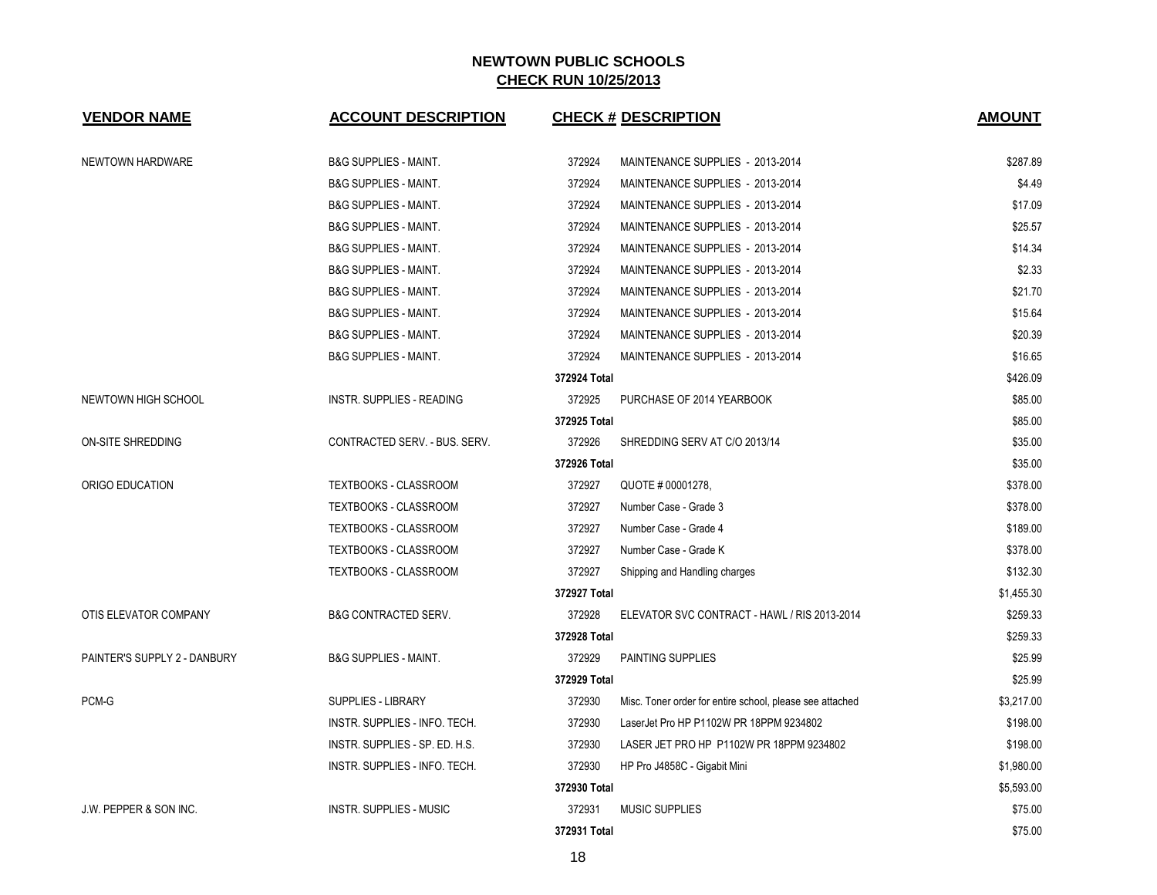| <b>VENDOR NAME</b>                | <b>ACCOUNT DESCRIPTION</b>       | <b>CHECK # DESCRIPTION</b>                                         | <b>AMOUNT</b> |
|-----------------------------------|----------------------------------|--------------------------------------------------------------------|---------------|
| NEWTOWN HARDWARE                  | <b>B&amp;G SUPPLIES - MAINT.</b> | 372924<br>MAINTENANCE SUPPLIES - 2013-2014                         | \$287.89      |
|                                   | <b>B&amp;G SUPPLIES - MAINT.</b> | 372924<br>MAINTENANCE SUPPLIES - 2013-2014                         | \$4.49        |
|                                   | <b>B&amp;G SUPPLIES - MAINT.</b> | 372924<br>MAINTENANCE SUPPLIES - 2013-2014                         | \$17.09       |
|                                   | <b>B&amp;G SUPPLIES - MAINT.</b> | 372924<br>MAINTENANCE SUPPLIES - 2013-2014                         | \$25.57       |
|                                   | <b>B&amp;G SUPPLIES - MAINT.</b> | 372924<br>MAINTENANCE SUPPLIES - 2013-2014                         | \$14.34       |
|                                   | <b>B&amp;G SUPPLIES - MAINT.</b> | 372924<br>MAINTENANCE SUPPLIES - 2013-2014                         | \$2.33        |
|                                   | <b>B&amp;G SUPPLIES - MAINT.</b> | 372924<br>MAINTENANCE SUPPLIES - 2013-2014                         | \$21.70       |
|                                   | <b>B&amp;G SUPPLIES - MAINT.</b> | 372924<br>MAINTENANCE SUPPLIES - 2013-2014                         | \$15.64       |
|                                   | <b>B&amp;G SUPPLIES - MAINT.</b> | 372924<br>MAINTENANCE SUPPLIES - 2013-2014                         | \$20.39       |
|                                   | <b>B&amp;G SUPPLIES - MAINT.</b> | 372924<br>MAINTENANCE SUPPLIES - 2013-2014                         | \$16.65       |
|                                   |                                  | 372924 Total                                                       | \$426.09      |
| NEWTOWN HIGH SCHOOL               | INSTR. SUPPLIES - READING        | 372925<br>PURCHASE OF 2014 YEARBOOK                                | \$85.00       |
|                                   |                                  | 372925 Total                                                       | \$85.00       |
| <b>ON-SITE SHREDDING</b>          | CONTRACTED SERV. - BUS. SERV.    | 372926<br>SHREDDING SERV AT C/O 2013/14                            | \$35.00       |
|                                   |                                  | 372926 Total                                                       | \$35.00       |
| ORIGO EDUCATION                   | TEXTBOOKS - CLASSROOM            | 372927<br>QUOTE # 00001278,                                        | \$378.00      |
|                                   | <b>TEXTBOOKS - CLASSROOM</b>     | Number Case - Grade 3<br>372927                                    | \$378.00      |
|                                   | TEXTBOOKS - CLASSROOM            | 372927<br>Number Case - Grade 4                                    | \$189.00      |
|                                   | TEXTBOOKS - CLASSROOM            | 372927<br>Number Case - Grade K                                    | \$378.00      |
|                                   | TEXTBOOKS - CLASSROOM            | 372927<br>Shipping and Handling charges                            | \$132.30      |
|                                   |                                  | 372927 Total                                                       | \$1,455.30    |
| OTIS ELEVATOR COMPANY             | <b>B&amp;G CONTRACTED SERV.</b>  | 372928<br>ELEVATOR SVC CONTRACT - HAWL / RIS 2013-2014             | \$259.33      |
|                                   |                                  | 372928 Total                                                       | \$259.33      |
| PAINTER'S SUPPLY 2 - DANBURY      | <b>B&amp;G SUPPLIES - MAINT.</b> | 372929<br>PAINTING SUPPLIES                                        | \$25.99       |
|                                   |                                  | 372929 Total                                                       | \$25.99       |
| PCM-G                             | <b>SUPPLIES - LIBRARY</b>        | 372930<br>Misc. Toner order for entire school, please see attached | \$3,217.00    |
|                                   | INSTR. SUPPLIES - INFO. TECH.    | 372930<br>LaserJet Pro HP P1102W PR 18PPM 9234802                  | \$198.00      |
|                                   | INSTR. SUPPLIES - SP. ED. H.S.   | 372930<br>LASER JET PRO HP P1102W PR 18PPM 9234802                 | \$198.00      |
|                                   | INSTR. SUPPLIES - INFO. TECH.    | 372930<br>HP Pro J4858C - Gigabit Mini                             | \$1,980.00    |
|                                   |                                  | 372930 Total                                                       | \$5,593.00    |
| <b>J.W. PEPPER &amp; SON INC.</b> | <b>INSTR. SUPPLIES - MUSIC</b>   | 372931<br><b>MUSIC SUPPLIES</b>                                    | \$75.00       |
|                                   |                                  | 372931 Total                                                       | \$75.00       |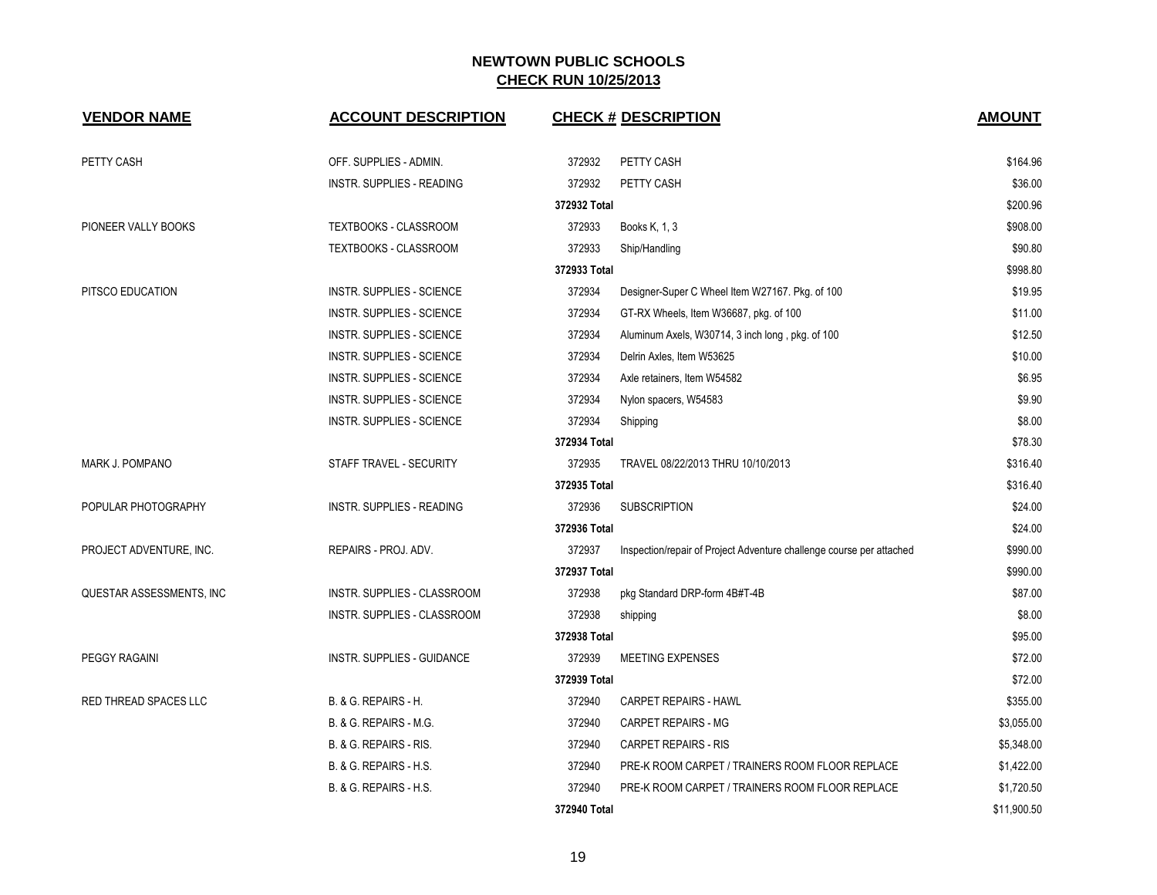| <b>VENDOR NAME</b>       | <b>ACCOUNT DESCRIPTION</b>        |              | <b>CHECK # DESCRIPTION</b>                                           | <b>AMOUNT</b> |
|--------------------------|-----------------------------------|--------------|----------------------------------------------------------------------|---------------|
| PETTY CASH               | OFF. SUPPLIES - ADMIN.            | 372932       | PETTY CASH                                                           | \$164.96      |
|                          | <b>INSTR. SUPPLIES - READING</b>  | 372932       | PETTY CASH                                                           | \$36.00       |
|                          |                                   | 372932 Total |                                                                      | \$200.96      |
| PIONEER VALLY BOOKS      | TEXTBOOKS - CLASSROOM             | 372933       | Books K, 1, 3                                                        | \$908.00      |
|                          | <b>TEXTBOOKS - CLASSROOM</b>      | 372933       | Ship/Handling                                                        | \$90.80       |
|                          |                                   | 372933 Total |                                                                      | \$998.80      |
| PITSCO EDUCATION         | <b>INSTR. SUPPLIES - SCIENCE</b>  | 372934       | Designer-Super C Wheel Item W27167. Pkg. of 100                      | \$19.95       |
|                          | INSTR. SUPPLIES - SCIENCE         | 372934       | GT-RX Wheels, Item W36687, pkg. of 100                               | \$11.00       |
|                          | INSTR. SUPPLIES - SCIENCE         | 372934       | Aluminum Axels, W30714, 3 inch long, pkg. of 100                     | \$12.50       |
|                          | INSTR. SUPPLIES - SCIENCE         | 372934       | Delrin Axles, Item W53625                                            | \$10.00       |
|                          | INSTR. SUPPLIES - SCIENCE         | 372934       | Axle retainers, Item W54582                                          | \$6.95        |
|                          | INSTR. SUPPLIES - SCIENCE         | 372934       | Nylon spacers, W54583                                                | \$9.90        |
|                          | INSTR. SUPPLIES - SCIENCE         | 372934       | Shipping                                                             | \$8.00        |
|                          |                                   | 372934 Total |                                                                      | \$78.30       |
| MARK J. POMPANO          | STAFF TRAVEL - SECURITY           | 372935       | TRAVEL 08/22/2013 THRU 10/10/2013                                    | \$316.40      |
|                          |                                   | 372935 Total |                                                                      | \$316.40      |
| POPULAR PHOTOGRAPHY      | <b>INSTR. SUPPLIES - READING</b>  | 372936       | <b>SUBSCRIPTION</b>                                                  | \$24.00       |
|                          |                                   | 372936 Total |                                                                      | \$24.00       |
| PROJECT ADVENTURE, INC.  | REPAIRS - PROJ. ADV.              | 372937       | Inspection/repair of Project Adventure challenge course per attached | \$990.00      |
|                          |                                   | 372937 Total |                                                                      | \$990.00      |
| QUESTAR ASSESSMENTS, INC | INSTR. SUPPLIES - CLASSROOM       | 372938       | pkg Standard DRP-form 4B#T-4B                                        | \$87.00       |
|                          | INSTR. SUPPLIES - CLASSROOM       | 372938       | shipping                                                             | \$8.00        |
|                          |                                   | 372938 Total |                                                                      | \$95.00       |
| PEGGY RAGAINI            | <b>INSTR. SUPPLIES - GUIDANCE</b> | 372939       | <b>MEETING EXPENSES</b>                                              | \$72.00       |
|                          |                                   | 372939 Total |                                                                      | \$72.00       |
| RED THREAD SPACES LLC    | B. & G. REPAIRS - H.              | 372940       | CARPET REPAIRS - HAWL                                                | \$355.00      |
|                          | B. & G. REPAIRS - M.G.            | 372940       | <b>CARPET REPAIRS - MG</b>                                           | \$3,055.00    |
|                          | B. & G. REPAIRS - RIS.            | 372940       | <b>CARPET REPAIRS - RIS</b>                                          | \$5,348.00    |
|                          | B. & G. REPAIRS - H.S.            | 372940       | PRE-K ROOM CARPET / TRAINERS ROOM FLOOR REPLACE                      | \$1,422.00    |
|                          | B. & G. REPAIRS - H.S.            | 372940       | PRE-K ROOM CARPET / TRAINERS ROOM FLOOR REPLACE                      | \$1,720.50    |
|                          |                                   | 372940 Total |                                                                      | \$11,900.50   |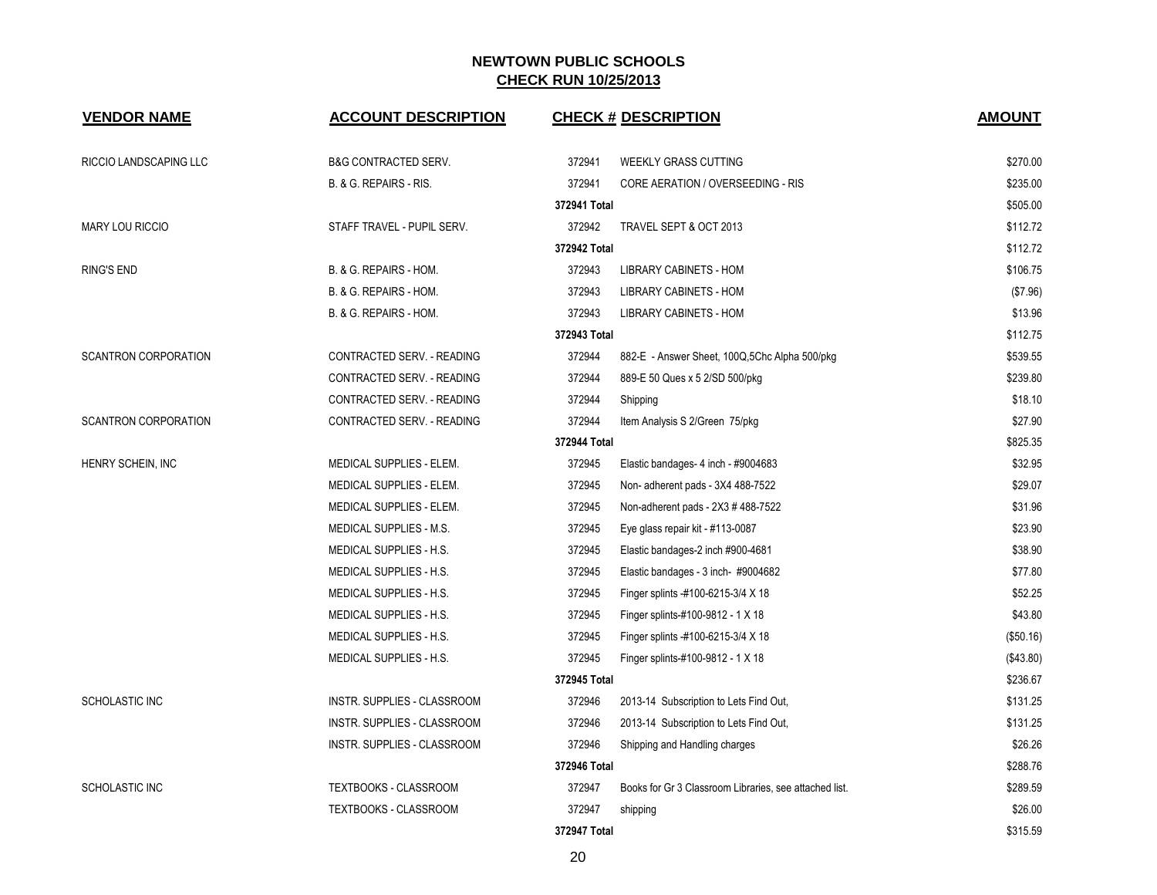| <b>VENDOR NAME</b>          | <b>ACCOUNT DESCRIPTION</b>      |              | <b>CHECK # DESCRIPTION</b>                             | <b>AMOUNT</b> |  |
|-----------------------------|---------------------------------|--------------|--------------------------------------------------------|---------------|--|
| RICCIO LANDSCAPING LLC      | <b>B&amp;G CONTRACTED SERV.</b> | 372941       | <b>WEEKLY GRASS CUTTING</b>                            | \$270.00      |  |
|                             | B. & G. REPAIRS - RIS.          | 372941       | CORE AERATION / OVERSEEDING - RIS                      | \$235.00      |  |
|                             |                                 | 372941 Total |                                                        | \$505.00      |  |
| <b>MARY LOU RICCIO</b>      | STAFF TRAVEL - PUPIL SERV.      | 372942       | TRAVEL SEPT & OCT 2013                                 | \$112.72      |  |
|                             |                                 | 372942 Total |                                                        | \$112.72      |  |
| <b>RING'S END</b>           | B. & G. REPAIRS - HOM.          | 372943       | <b>LIBRARY CABINETS - HOM</b>                          | \$106.75      |  |
|                             | B. & G. REPAIRS - HOM.          | 372943       | LIBRARY CABINETS - HOM                                 | (\$7.96)      |  |
|                             | B. & G. REPAIRS - HOM.          | 372943       | <b>LIBRARY CABINETS - HOM</b>                          | \$13.96       |  |
|                             |                                 | 372943 Total |                                                        | \$112.75      |  |
| <b>SCANTRON CORPORATION</b> | CONTRACTED SERV. - READING      | 372944       | 882-E - Answer Sheet, 100Q,5Chc Alpha 500/pkg          | \$539.55      |  |
|                             | CONTRACTED SERV. - READING      | 372944       | 889-E 50 Ques x 5 2/SD 500/pkg                         | \$239.80      |  |
|                             | CONTRACTED SERV. - READING      | 372944       | Shipping                                               | \$18.10       |  |
| <b>SCANTRON CORPORATION</b> | CONTRACTED SERV. - READING      | 372944       | Item Analysis S 2/Green 75/pkg                         | \$27.90       |  |
|                             |                                 | 372944 Total |                                                        |               |  |
| HENRY SCHEIN, INC           | MEDICAL SUPPLIES - ELEM.        | 372945       | Elastic bandages- 4 inch - #9004683                    | \$32.95       |  |
|                             | MEDICAL SUPPLIES - ELEM.        | 372945       | Non- adherent pads - 3X4 488-7522                      | \$29.07       |  |
|                             | MEDICAL SUPPLIES - ELEM.        | 372945       | Non-adherent pads - 2X3 # 488-7522                     | \$31.96       |  |
|                             | MEDICAL SUPPLIES - M.S.         | 372945       | Eye glass repair kit - #113-0087                       | \$23.90       |  |
|                             | MEDICAL SUPPLIES - H.S.         | 372945       | Elastic bandages-2 inch #900-4681                      | \$38.90       |  |
|                             | MEDICAL SUPPLIES - H.S.         | 372945       | Elastic bandages - 3 inch- #9004682                    | \$77.80       |  |
|                             | MEDICAL SUPPLIES - H.S.         | 372945       | Finger splints -#100-6215-3/4 X 18                     | \$52.25       |  |
|                             | MEDICAL SUPPLIES - H.S.         | 372945       | Finger splints-#100-9812 - 1 X 18                      | \$43.80       |  |
|                             | MEDICAL SUPPLIES - H.S.         | 372945       | Finger splints -#100-6215-3/4 X 18                     | (\$50.16)     |  |
|                             | MEDICAL SUPPLIES - H.S.         | 372945       | Finger splints-#100-9812 - 1 X 18                      | (\$43.80)     |  |
|                             |                                 | 372945 Total |                                                        | \$236.67      |  |
| <b>SCHOLASTIC INC</b>       | INSTR. SUPPLIES - CLASSROOM     | 372946       | 2013-14 Subscription to Lets Find Out,                 | \$131.25      |  |
|                             | INSTR. SUPPLIES - CLASSROOM     | 372946       | 2013-14 Subscription to Lets Find Out,                 | \$131.25      |  |
|                             | INSTR. SUPPLIES - CLASSROOM     | 372946       | Shipping and Handling charges                          | \$26.26       |  |
|                             |                                 | 372946 Total |                                                        | \$288.76      |  |
| <b>SCHOLASTIC INC</b>       | TEXTBOOKS - CLASSROOM           | 372947       | Books for Gr 3 Classroom Libraries, see attached list. | \$289.59      |  |
|                             | TEXTBOOKS - CLASSROOM           | 372947       | shipping                                               | \$26.00       |  |
|                             |                                 | 372947 Total |                                                        | \$315.59      |  |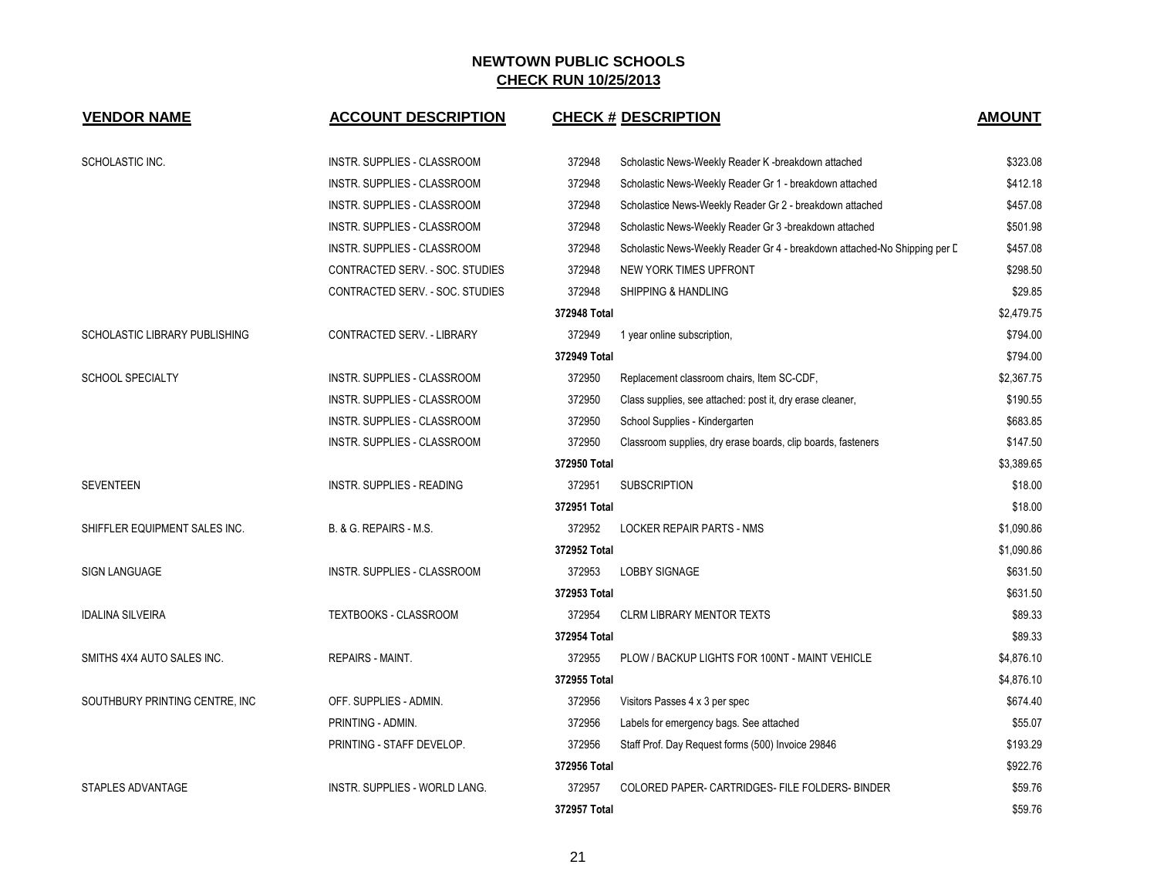| <b>VENDOR NAME</b>             | <b>ACCOUNT DESCRIPTION</b>           |              | <b>CHECK # DESCRIPTION</b>                                                | <b>AMOUNT</b> |
|--------------------------------|--------------------------------------|--------------|---------------------------------------------------------------------------|---------------|
| SCHOLASTIC INC.                | <b>INSTR. SUPPLIES - CLASSROOM</b>   | 372948       | Scholastic News-Weekly Reader K -breakdown attached                       | \$323.08      |
|                                | <b>INSTR. SUPPLIES - CLASSROOM</b>   | 372948       | Scholastic News-Weekly Reader Gr 1 - breakdown attached                   | \$412.18      |
|                                | INSTR. SUPPLIES - CLASSROOM          | 372948       | Scholastice News-Weekly Reader Gr 2 - breakdown attached                  | \$457.08      |
|                                | INSTR. SUPPLIES - CLASSROOM          | 372948       | Scholastic News-Weekly Reader Gr 3 -breakdown attached                    | \$501.98      |
|                                | INSTR. SUPPLIES - CLASSROOM          | 372948       | Scholastic News-Weekly Reader Gr 4 - breakdown attached-No Shipping per D | \$457.08      |
|                                | CONTRACTED SERV. - SOC. STUDIES      | 372948       | NEW YORK TIMES UPFRONT                                                    | \$298.50      |
|                                | CONTRACTED SERV. - SOC. STUDIES      | 372948       | SHIPPING & HANDLING                                                       | \$29.85       |
|                                |                                      | 372948 Total |                                                                           | \$2,479.75    |
| SCHOLASTIC LIBRARY PUBLISHING  | CONTRACTED SERV. - LIBRARY           | 372949       | 1 year online subscription,                                               | \$794.00      |
|                                |                                      | 372949 Total |                                                                           | \$794.00      |
| <b>SCHOOL SPECIALTY</b>        | <b>INSTR. SUPPLIES - CLASSROOM</b>   | 372950       | Replacement classroom chairs, Item SC-CDF,                                | \$2,367.75    |
|                                | INSTR. SUPPLIES - CLASSROOM          | 372950       | Class supplies, see attached: post it, dry erase cleaner,                 | \$190.55      |
|                                | INSTR. SUPPLIES - CLASSROOM          | 372950       | School Supplies - Kindergarten                                            | \$683.85      |
|                                | INSTR. SUPPLIES - CLASSROOM          | 372950       | Classroom supplies, dry erase boards, clip boards, fasteners              | \$147.50      |
|                                |                                      | 372950 Total |                                                                           | \$3,389.65    |
| <b>SEVENTEEN</b>               | <b>INSTR. SUPPLIES - READING</b>     | 372951       | <b>SUBSCRIPTION</b>                                                       | \$18.00       |
|                                |                                      | 372951 Total |                                                                           | \$18.00       |
| SHIFFLER EQUIPMENT SALES INC.  | B. & G. REPAIRS - M.S.               | 372952       | <b>LOCKER REPAIR PARTS - NMS</b>                                          | \$1,090.86    |
|                                |                                      | 372952 Total |                                                                           | \$1,090.86    |
| <b>SIGN LANGUAGE</b>           | INSTR. SUPPLIES - CLASSROOM          | 372953       | <b>LOBBY SIGNAGE</b>                                                      | \$631.50      |
|                                |                                      | 372953 Total |                                                                           | \$631.50      |
| <b>IDALINA SILVEIRA</b>        | TEXTBOOKS - CLASSROOM                | 372954       | <b>CLRM LIBRARY MENTOR TEXTS</b>                                          | \$89.33       |
|                                |                                      | 372954 Total |                                                                           | \$89.33       |
| SMITHS 4X4 AUTO SALES INC.     | <b>REPAIRS - MAINT.</b>              | 372955       | PLOW / BACKUP LIGHTS FOR 100NT - MAINT VEHICLE                            | \$4,876.10    |
|                                |                                      | 372955 Total |                                                                           | \$4,876.10    |
| SOUTHBURY PRINTING CENTRE, INC | OFF. SUPPLIES - ADMIN.               | 372956       | Visitors Passes 4 x 3 per spec                                            | \$674.40      |
|                                | PRINTING - ADMIN.                    | 372956       | Labels for emergency bags. See attached                                   | \$55.07       |
|                                | PRINTING - STAFF DEVELOP.            | 372956       | Staff Prof. Day Request forms (500) Invoice 29846                         | \$193.29      |
|                                |                                      | 372956 Total |                                                                           | \$922.76      |
| <b>STAPLES ADVANTAGE</b>       | <b>INSTR. SUPPLIES - WORLD LANG.</b> | 372957       | COLORED PAPER- CARTRIDGES- FILE FOLDERS- BINDER                           | \$59.76       |
|                                |                                      | 372957 Total |                                                                           | \$59.76       |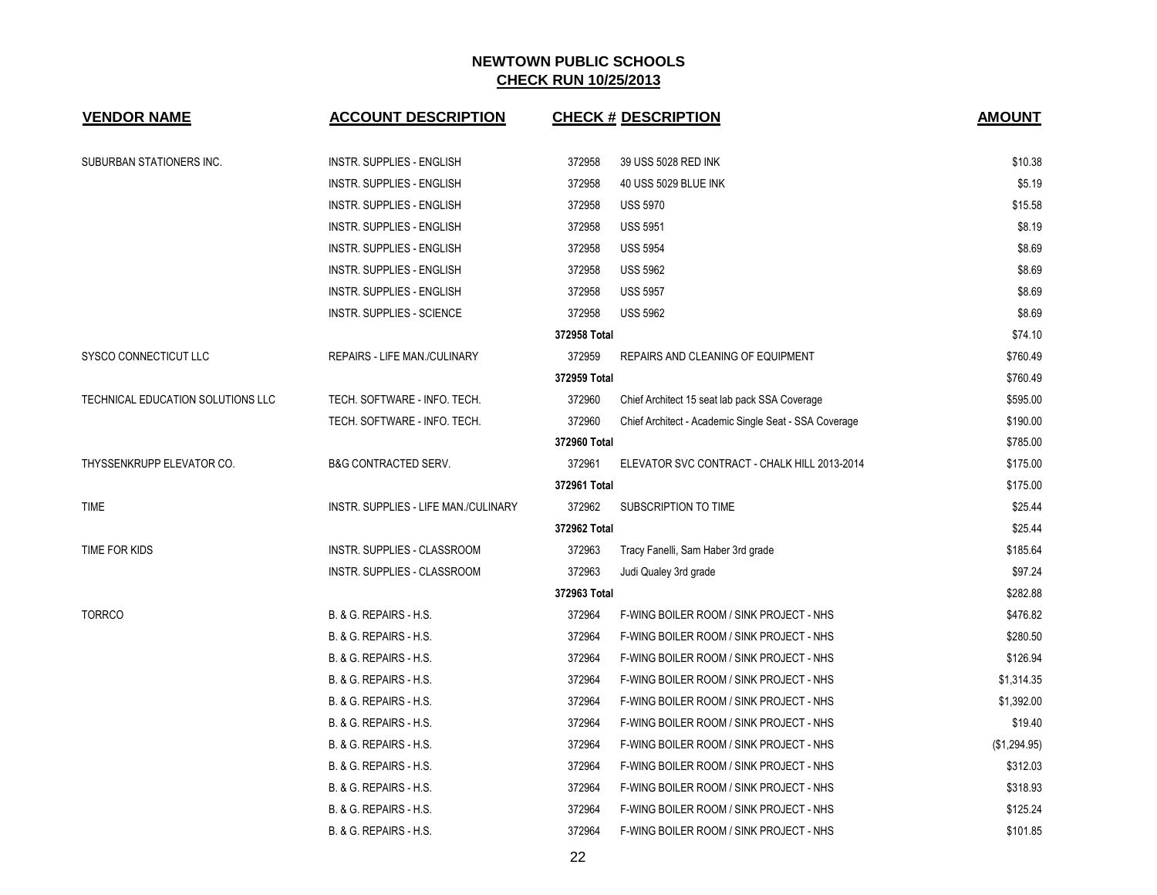| <b>VENDOR NAME</b>                | <b>ACCOUNT DESCRIPTION</b>           |              | <b>CHECK # DESCRIPTION</b>                            | <b>AMOUNT</b> |
|-----------------------------------|--------------------------------------|--------------|-------------------------------------------------------|---------------|
| SUBURBAN STATIONERS INC.          | <b>INSTR. SUPPLIES - ENGLISH</b>     | 372958       | 39 USS 5028 RED INK                                   | \$10.38       |
|                                   | <b>INSTR. SUPPLIES - ENGLISH</b>     | 372958       | 40 USS 5029 BLUE INK                                  | \$5.19        |
|                                   | <b>INSTR. SUPPLIES - ENGLISH</b>     | 372958       | <b>USS 5970</b>                                       | \$15.58       |
|                                   | <b>INSTR. SUPPLIES - ENGLISH</b>     | 372958       | <b>USS 5951</b>                                       | \$8.19        |
|                                   | <b>INSTR. SUPPLIES - ENGLISH</b>     | 372958       | <b>USS 5954</b>                                       | \$8.69        |
|                                   | <b>INSTR. SUPPLIES - ENGLISH</b>     | 372958       | <b>USS 5962</b>                                       | \$8.69        |
|                                   | INSTR. SUPPLIES - ENGLISH            | 372958       | <b>USS 5957</b>                                       | \$8.69        |
|                                   | INSTR. SUPPLIES - SCIENCE            | 372958       | <b>USS 5962</b>                                       | \$8.69        |
|                                   |                                      | 372958 Total |                                                       | \$74.10       |
| SYSCO CONNECTICUT LLC             | REPAIRS - LIFE MAN./CULINARY         | 372959       | REPAIRS AND CLEANING OF EQUIPMENT                     | \$760.49      |
|                                   |                                      | 372959 Total |                                                       | \$760.49      |
| TECHNICAL EDUCATION SOLUTIONS LLC | TECH. SOFTWARE - INFO. TECH.         | 372960       | Chief Architect 15 seat lab pack SSA Coverage         | \$595.00      |
|                                   | TECH. SOFTWARE - INFO. TECH.         | 372960       | Chief Architect - Academic Single Seat - SSA Coverage | \$190.00      |
|                                   |                                      | 372960 Total |                                                       | \$785.00      |
| THYSSENKRUPP ELEVATOR CO.         | B&G CONTRACTED SERV.                 | 372961       | ELEVATOR SVC CONTRACT - CHALK HILL 2013-2014          | \$175.00      |
|                                   |                                      | 372961 Total |                                                       | \$175.00      |
| TIME                              | INSTR. SUPPLIES - LIFE MAN./CULINARY | 372962       | SUBSCRIPTION TO TIME                                  | \$25.44       |
|                                   |                                      | 372962 Total |                                                       | \$25.44       |
| TIME FOR KIDS                     | INSTR. SUPPLIES - CLASSROOM          | 372963       | Tracy Fanelli, Sam Haber 3rd grade                    | \$185.64      |
|                                   | INSTR. SUPPLIES - CLASSROOM          | 372963       | Judi Qualey 3rd grade                                 | \$97.24       |
|                                   |                                      | 372963 Total |                                                       | \$282.88      |
| <b>TORRCO</b>                     | B. & G. REPAIRS - H.S.               | 372964       | F-WING BOILER ROOM / SINK PROJECT - NHS               | \$476.82      |
|                                   | B. & G. REPAIRS - H.S.               | 372964       | F-WING BOILER ROOM / SINK PROJECT - NHS               | \$280.50      |
|                                   | B. & G. REPAIRS - H.S.               | 372964       | F-WING BOILER ROOM / SINK PROJECT - NHS               | \$126.94      |
|                                   | B. & G. REPAIRS - H.S.               | 372964       | F-WING BOILER ROOM / SINK PROJECT - NHS               | \$1,314.35    |
|                                   | B. & G. REPAIRS - H.S.               | 372964       | F-WING BOILER ROOM / SINK PROJECT - NHS               | \$1,392.00    |
|                                   | B. & G. REPAIRS - H.S.               | 372964       | F-WING BOILER ROOM / SINK PROJECT - NHS               | \$19.40       |
|                                   | B. & G. REPAIRS - H.S.               | 372964       | F-WING BOILER ROOM / SINK PROJECT - NHS               | (\$1,294.95)  |
|                                   | B. & G. REPAIRS - H.S.               | 372964       | F-WING BOILER ROOM / SINK PROJECT - NHS               | \$312.03      |
|                                   | B. & G. REPAIRS - H.S.               | 372964       | F-WING BOILER ROOM / SINK PROJECT - NHS               | \$318.93      |
|                                   | B. & G. REPAIRS - H.S.               | 372964       | F-WING BOILER ROOM / SINK PROJECT - NHS               | \$125.24      |
|                                   | B. & G. REPAIRS - H.S.               | 372964       | F-WING BOILER ROOM / SINK PROJECT - NHS               | \$101.85      |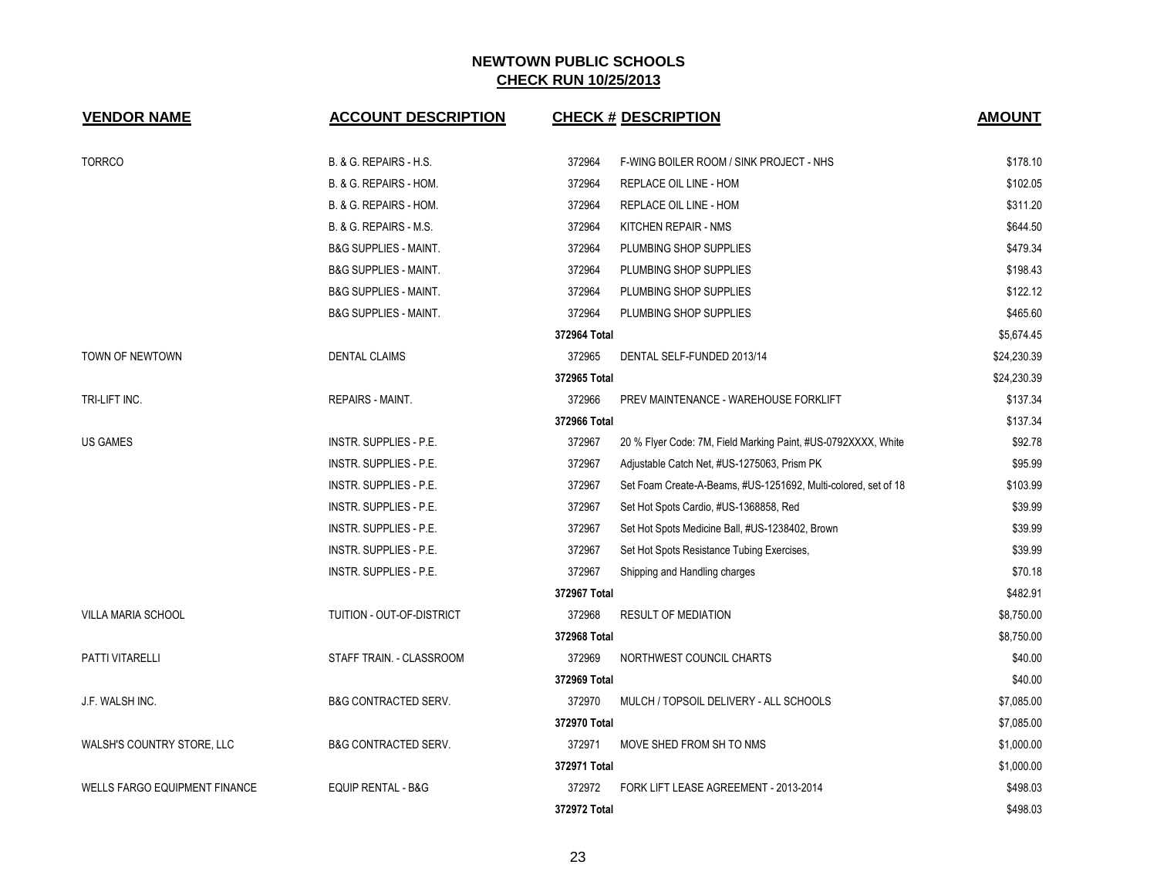| <b>VENDOR NAME</b>                   | <b>ACCOUNT DESCRIPTION</b>       |              | <b>CHECK # DESCRIPTION</b>                                     | <b>AMOUNT</b> |
|--------------------------------------|----------------------------------|--------------|----------------------------------------------------------------|---------------|
| <b>TORRCO</b>                        | B. & G. REPAIRS - H.S.           | 372964       | F-WING BOILER ROOM / SINK PROJECT - NHS                        | \$178.10      |
|                                      | B. & G. REPAIRS - HOM.           | 372964       | REPLACE OIL LINE - HOM                                         | \$102.05      |
|                                      | B. & G. REPAIRS - HOM.           | 372964       | REPLACE OIL LINE - HOM                                         | \$311.20      |
|                                      | B. & G. REPAIRS - M.S.           | 372964       | KITCHEN REPAIR - NMS                                           | \$644.50      |
|                                      | <b>B&amp;G SUPPLIES - MAINT.</b> | 372964       | PLUMBING SHOP SUPPLIES                                         | \$479.34      |
|                                      | <b>B&amp;G SUPPLIES - MAINT.</b> | 372964       | PLUMBING SHOP SUPPLIES                                         | \$198.43      |
|                                      | <b>B&amp;G SUPPLIES - MAINT.</b> | 372964       | PLUMBING SHOP SUPPLIES                                         | \$122.12      |
|                                      | <b>B&amp;G SUPPLIES - MAINT.</b> | 372964       | PLUMBING SHOP SUPPLIES                                         | \$465.60      |
|                                      |                                  | 372964 Total |                                                                | \$5,674.45    |
| TOWN OF NEWTOWN                      | <b>DENTAL CLAIMS</b>             | 372965       | DENTAL SELF-FUNDED 2013/14                                     | \$24,230.39   |
|                                      |                                  | 372965 Total |                                                                | \$24,230.39   |
| TRI-LIFT INC.                        | REPAIRS - MAINT.                 | 372966       | PREV MAINTENANCE - WAREHOUSE FORKLIFT                          | \$137.34      |
|                                      |                                  | 372966 Total |                                                                | \$137.34      |
| <b>US GAMES</b>                      | <b>INSTR. SUPPLIES - P.E.</b>    | 372967       | 20 % Flyer Code: 7M, Field Marking Paint, #US-0792XXXX, White  | \$92.78       |
|                                      | <b>INSTR. SUPPLIES - P.E.</b>    | 372967       | Adjustable Catch Net, #US-1275063, Prism PK                    | \$95.99       |
|                                      | INSTR. SUPPLIES - P.E.           | 372967       | Set Foam Create-A-Beams, #US-1251692, Multi-colored, set of 18 | \$103.99      |
|                                      | <b>INSTR. SUPPLIES - P.E.</b>    | 372967       | Set Hot Spots Cardio, #US-1368858, Red                         | \$39.99       |
|                                      | INSTR. SUPPLIES - P.E.           | 372967       | Set Hot Spots Medicine Ball, #US-1238402, Brown                | \$39.99       |
|                                      | INSTR. SUPPLIES - P.E.           | 372967       | Set Hot Spots Resistance Tubing Exercises,                     | \$39.99       |
|                                      | INSTR. SUPPLIES - P.E.           | 372967       | Shipping and Handling charges                                  | \$70.18       |
|                                      |                                  | 372967 Total |                                                                | \$482.91      |
| VILLA MARIA SCHOOL                   | TUITION - OUT-OF-DISTRICT        | 372968       | <b>RESULT OF MEDIATION</b>                                     | \$8,750.00    |
|                                      |                                  | 372968 Total |                                                                | \$8,750.00    |
| PATTI VITARELLI                      | STAFF TRAIN. - CLASSROOM         | 372969       | NORTHWEST COUNCIL CHARTS                                       | \$40.00       |
|                                      |                                  | 372969 Total |                                                                | \$40.00       |
| J.F. WALSH INC.                      | <b>B&amp;G CONTRACTED SERV.</b>  | 372970       | MULCH / TOPSOIL DELIVERY - ALL SCHOOLS                         | \$7,085.00    |
|                                      |                                  | 372970 Total |                                                                | \$7,085.00    |
| WALSH'S COUNTRY STORE, LLC           | <b>B&amp;G CONTRACTED SERV.</b>  | 372971       | MOVE SHED FROM SH TO NMS                                       | \$1,000.00    |
|                                      |                                  | 372971 Total |                                                                | \$1,000.00    |
| <b>WELLS FARGO EQUIPMENT FINANCE</b> | <b>EQUIP RENTAL - B&amp;G</b>    | 372972       | FORK LIFT LEASE AGREEMENT - 2013-2014                          | \$498.03      |
|                                      |                                  | 372972 Total |                                                                | \$498.03      |